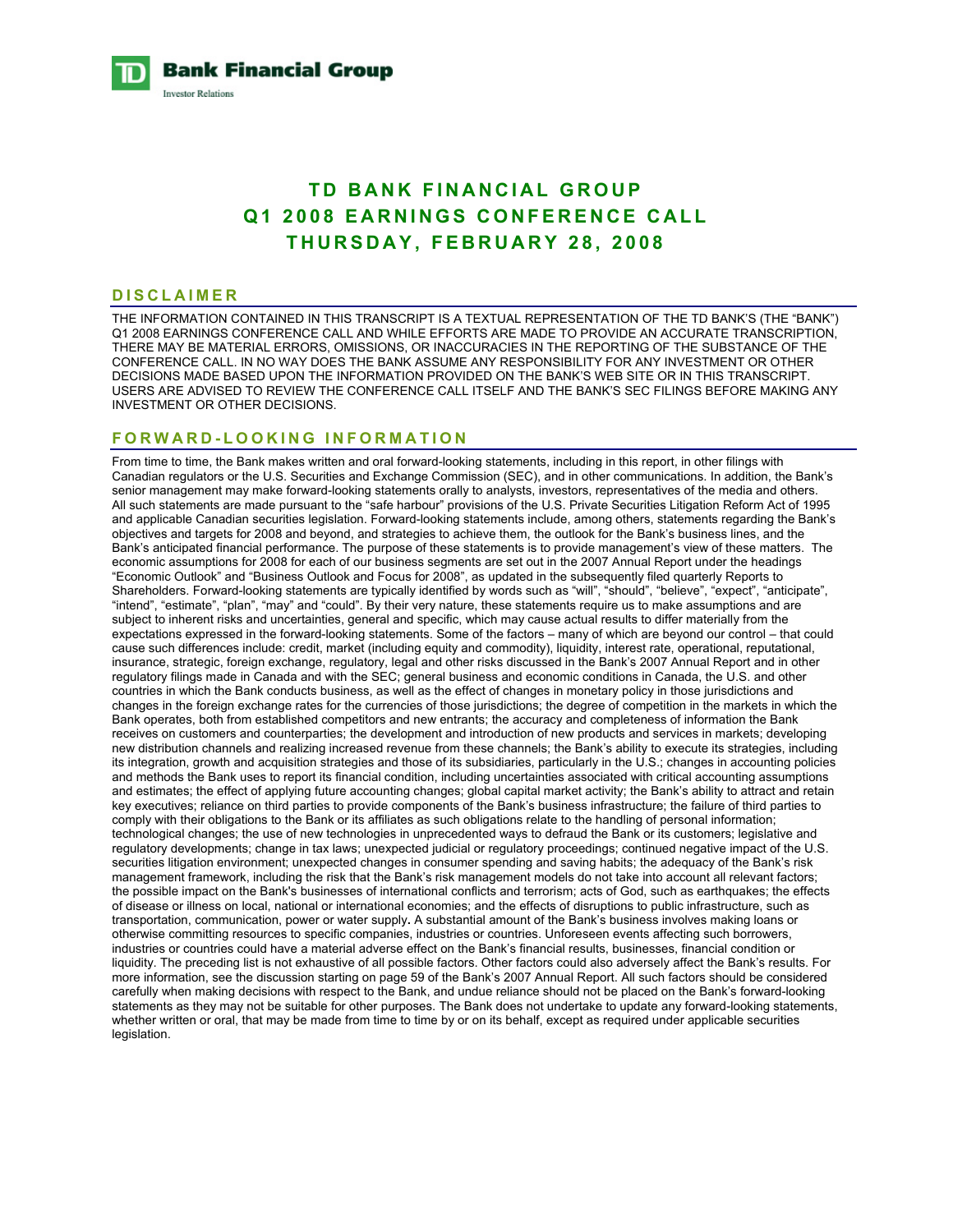**Bank Financial Group Investor Relations** 

# **TD BANK FINANCIAL GROUP Q1 2008 EARNINGS CONFERENCE CALL THURSDAY, FEBRUARY 28, 2008**

#### **DISCLAIMER**

THE INFORMATION CONTAINED IN THIS TRANSCRIPT IS A TEXTUAL REPRESENTATION OF THE TD BANK'S (THE "BANK") Q1 2008 EARNINGS CONFERENCE CALL AND WHILE EFFORTS ARE MADE TO PROVIDE AN ACCURATE TRANSCRIPTION, THERE MAY BE MATERIAL ERRORS, OMISSIONS, OR INACCURACIES IN THE REPORTING OF THE SUBSTANCE OF THE CONFERENCE CALL. IN NO WAY DOES THE BANK ASSUME ANY RESPONSIBILITY FOR ANY INVESTMENT OR OTHER DECISIONS MADE BASED UPON THE INFORMATION PROVIDED ON THE BANK'S WEB SITE OR IN THIS TRANSCRIPT. USERS ARE ADVISED TO REVIEW THE CONFERENCE CALL ITSELF AND THE BANK'S SEC FILINGS BEFORE MAKING ANY INVESTMENT OR OTHER DECISIONS.

### **FORWARD-LOOKING INFORMATION**

From time to time, the Bank makes written and oral forward-looking statements, including in this report, in other filings with Canadian regulators or the U.S. Securities and Exchange Commission (SEC), and in other communications. In addition, the Bank's senior management may make forward-looking statements orally to analysts, investors, representatives of the media and others. All such statements are made pursuant to the "safe harbour" provisions of the U.S. Private Securities Litigation Reform Act of 1995 and applicable Canadian securities legislation. Forward-looking statements include, among others, statements regarding the Bank's objectives and targets for 2008 and beyond, and strategies to achieve them, the outlook for the Bank's business lines, and the Bank's anticipated financial performance. The purpose of these statements is to provide management's view of these matters. The economic assumptions for 2008 for each of our business segments are set out in the 2007 Annual Report under the headings "Economic Outlook" and "Business Outlook and Focus for 2008", as updated in the subsequently filed quarterly Reports to Shareholders. Forward-looking statements are typically identified by words such as "will", "should", "believe", "expect", "anticipate", "intend", "estimate", "plan", "may" and "could". By their very nature, these statements require us to make assumptions and are subject to inherent risks and uncertainties, general and specific, which may cause actual results to differ materially from the expectations expressed in the forward-looking statements. Some of the factors – many of which are beyond our control – that could cause such differences include: credit, market (including equity and commodity), liquidity, interest rate, operational, reputational, insurance, strategic, foreign exchange, regulatory, legal and other risks discussed in the Bank's 2007 Annual Report and in other regulatory filings made in Canada and with the SEC; general business and economic conditions in Canada, the U.S. and other countries in which the Bank conducts business, as well as the effect of changes in monetary policy in those jurisdictions and changes in the foreign exchange rates for the currencies of those jurisdictions; the degree of competition in the markets in which the Bank operates, both from established competitors and new entrants; the accuracy and completeness of information the Bank receives on customers and counterparties; the development and introduction of new products and services in markets; developing new distribution channels and realizing increased revenue from these channels; the Bank's ability to execute its strategies, including its integration, growth and acquisition strategies and those of its subsidiaries, particularly in the U.S.; changes in accounting policies and methods the Bank uses to report its financial condition, including uncertainties associated with critical accounting assumptions and estimates; the effect of applying future accounting changes; global capital market activity; the Bank's ability to attract and retain key executives; reliance on third parties to provide components of the Bank's business infrastructure; the failure of third parties to comply with their obligations to the Bank or its affiliates as such obligations relate to the handling of personal information; technological changes; the use of new technologies in unprecedented ways to defraud the Bank or its customers; legislative and regulatory developments; change in tax laws; unexpected judicial or regulatory proceedings; continued negative impact of the U.S. securities litigation environment; unexpected changes in consumer spending and saving habits; the adequacy of the Bank's risk management framework, including the risk that the Bank's risk management models do not take into account all relevant factors; the possible impact on the Bank's businesses of international conflicts and terrorism; acts of God, such as earthquakes; the effects of disease or illness on local, national or international economies; and the effects of disruptions to public infrastructure, such as transportation, communication, power or water supply**.** A substantial amount of the Bank's business involves making loans or otherwise committing resources to specific companies, industries or countries. Unforeseen events affecting such borrowers, industries or countries could have a material adverse effect on the Bank's financial results, businesses, financial condition or liquidity. The preceding list is not exhaustive of all possible factors. Other factors could also adversely affect the Bank's results. For more information, see the discussion starting on page 59 of the Bank's 2007 Annual Report. All such factors should be considered carefully when making decisions with respect to the Bank, and undue reliance should not be placed on the Bank's forward-looking statements as they may not be suitable for other purposes. The Bank does not undertake to update any forward-looking statements, whether written or oral, that may be made from time to time by or on its behalf, except as required under applicable securities legislation.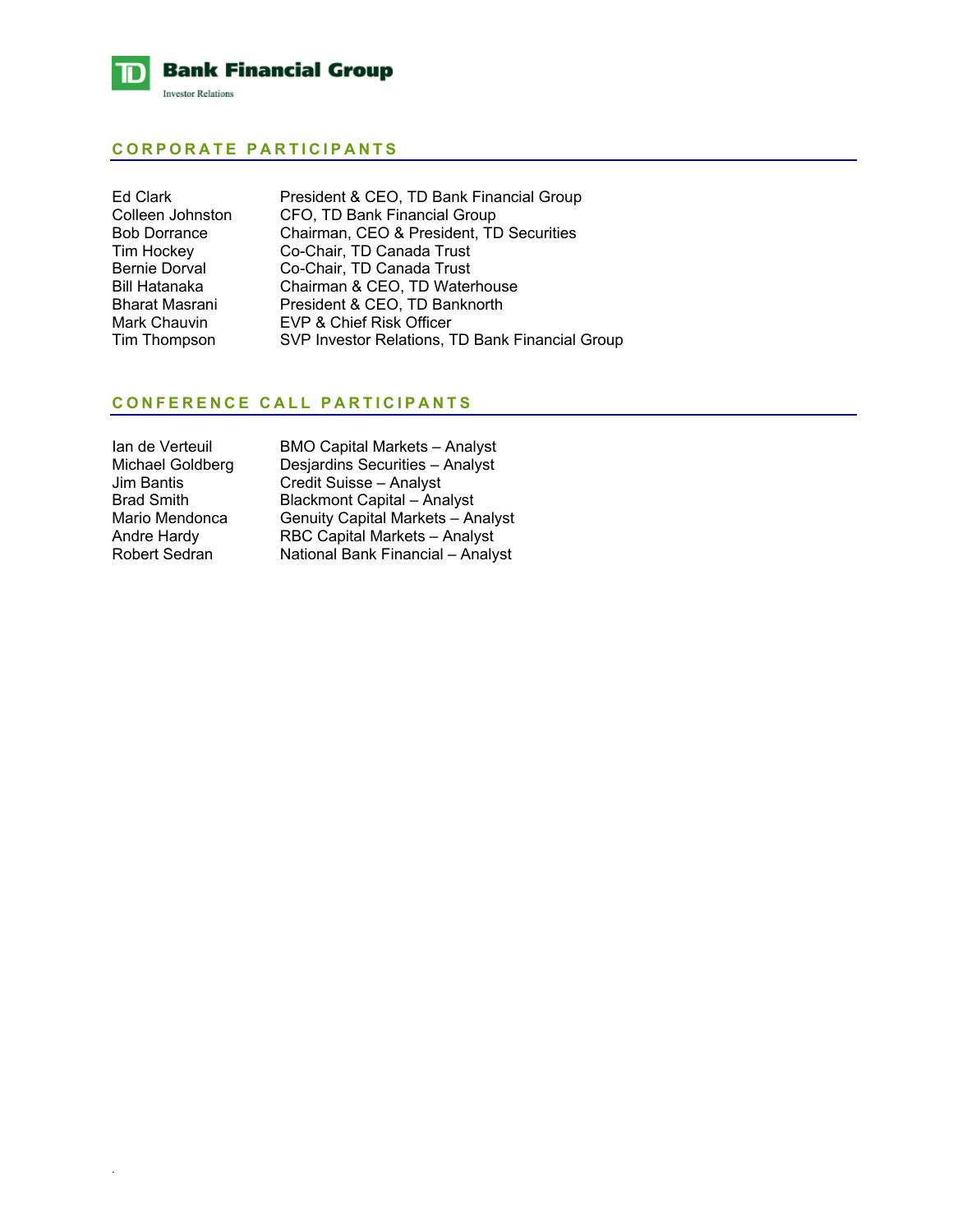

## **CORPORATE PARTICIPANTS**

| Ed Clark            | President & CEO, TD Bank Financial Group        |
|---------------------|-------------------------------------------------|
| Colleen Johnston    | CFO, TD Bank Financial Group                    |
| <b>Bob Dorrance</b> | Chairman, CEO & President, TD Securities        |
| Tim Hockey          | Co-Chair, TD Canada Trust                       |
| Bernie Dorval       | Co-Chair, TD Canada Trust                       |
| Bill Hatanaka       | Chairman & CEO, TD Waterhouse                   |
| Bharat Masrani      | President & CEO, TD Banknorth                   |
| Mark Chauvin        | EVP & Chief Risk Officer                        |
| Tim Thompson        | SVP Investor Relations, TD Bank Financial Group |

# **CONFERENCE CALL PARTICIPANTS**

| lan de Verteuil      | BMO          |
|----------------------|--------------|
| Michael Goldberg     | Desja        |
| <b>Jim Bantis</b>    | Credi        |
| <b>Brad Smith</b>    | <b>Black</b> |
| Mario Mendonca       | Genu         |
| <b>Andre Hardy</b>   | RBC -        |
| <b>Robert Sedran</b> | Natio        |

.

Capital Markets – Analyst ardins Securities – Analyst it Suisse – Analyst Rrad School Prancy St<br>
Smont Capital – Analyst iity Capital Markets – Analyst Capital Markets – Analyst nal Bank Financial – Analyst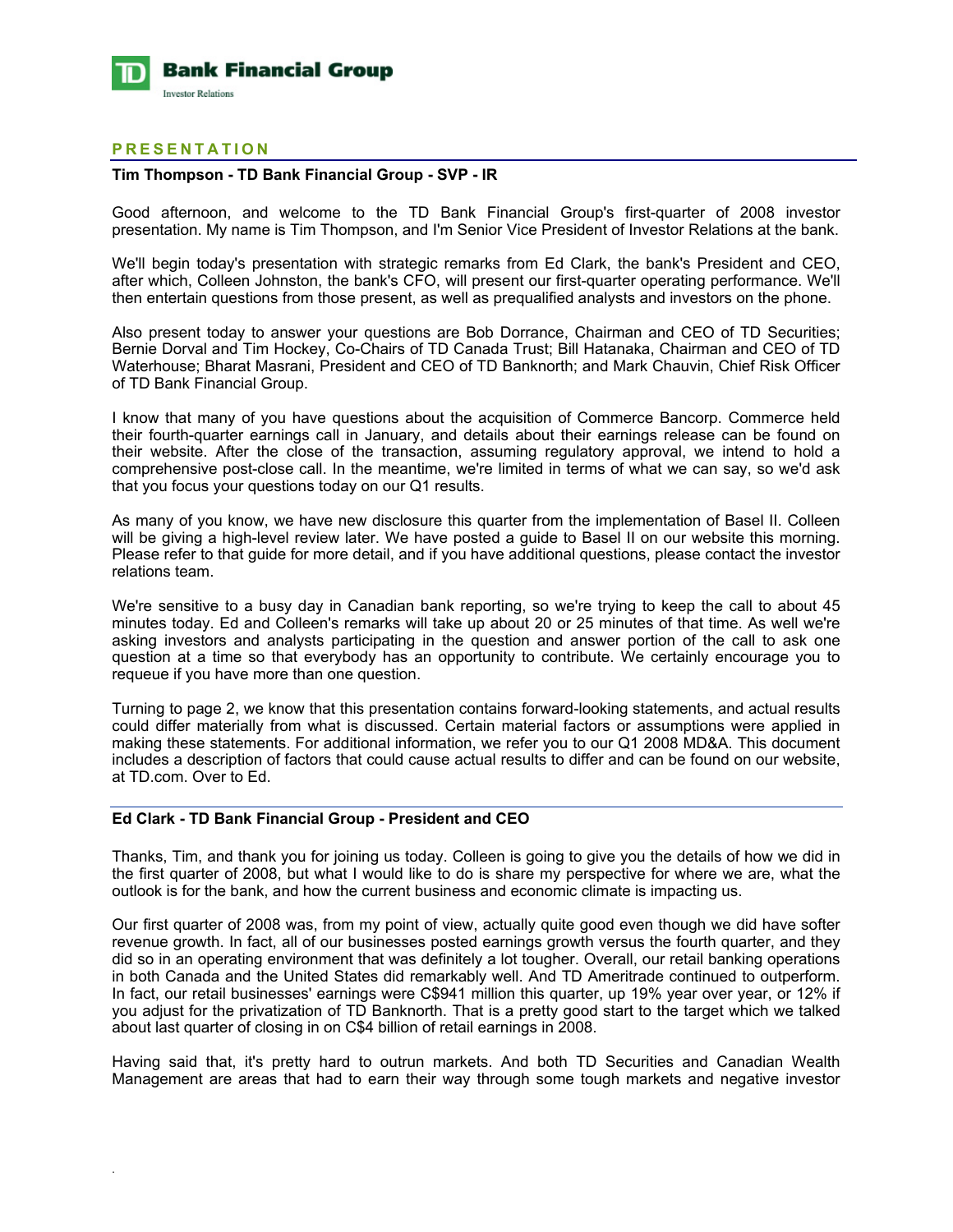

### **PRESENTATION**

#### **Tim Thompson - TD Bank Financial Group - SVP - IR**

Good afternoon, and welcome to the TD Bank Financial Group's first-quarter of 2008 investor presentation. My name is Tim Thompson, and I'm Senior Vice President of Investor Relations at the bank.

We'll begin today's presentation with strategic remarks from Ed Clark, the bank's President and CEO, after which, Colleen Johnston, the bank's CFO, will present our first-quarter operating performance. We'll then entertain questions from those present, as well as prequalified analysts and investors on the phone.

Also present today to answer your questions are Bob Dorrance, Chairman and CEO of TD Securities; Bernie Dorval and Tim Hockey, Co-Chairs of TD Canada Trust; Bill Hatanaka, Chairman and CEO of TD Waterhouse; Bharat Masrani, President and CEO of TD Banknorth; and Mark Chauvin, Chief Risk Officer of TD Bank Financial Group.

I know that many of you have questions about the acquisition of Commerce Bancorp. Commerce held their fourth-quarter earnings call in January, and details about their earnings release can be found on their website. After the close of the transaction, assuming regulatory approval, we intend to hold a comprehensive post-close call. In the meantime, we're limited in terms of what we can say, so we'd ask that you focus your questions today on our Q1 results.

As many of you know, we have new disclosure this quarter from the implementation of Basel II. Colleen will be giving a high-level review later. We have posted a guide to Basel II on our website this morning. Please refer to that guide for more detail, and if you have additional questions, please contact the investor relations team.

We're sensitive to a busy day in Canadian bank reporting, so we're trying to keep the call to about 45 minutes today. Ed and Colleen's remarks will take up about 20 or 25 minutes of that time. As well we're asking investors and analysts participating in the question and answer portion of the call to ask one question at a time so that everybody has an opportunity to contribute. We certainly encourage you to requeue if you have more than one question.

Turning to page 2, we know that this presentation contains forward-looking statements, and actual results could differ materially from what is discussed. Certain material factors or assumptions were applied in making these statements. For additional information, we refer you to our Q1 2008 MD&A. This document includes a description of factors that could cause actual results to differ and can be found on our website, at TD.com. Over to Ed.

### **Ed Clark - TD Bank Financial Group - President and CEO**

.

Thanks, Tim, and thank you for joining us today. Colleen is going to give you the details of how we did in the first quarter of 2008, but what I would like to do is share my perspective for where we are, what the outlook is for the bank, and how the current business and economic climate is impacting us.

Our first quarter of 2008 was, from my point of view, actually quite good even though we did have softer revenue growth. In fact, all of our businesses posted earnings growth versus the fourth quarter, and they did so in an operating environment that was definitely a lot tougher. Overall, our retail banking operations in both Canada and the United States did remarkably well. And TD Ameritrade continued to outperform. In fact, our retail businesses' earnings were C\$941 million this quarter, up 19% year over year, or 12% if you adjust for the privatization of TD Banknorth. That is a pretty good start to the target which we talked about last quarter of closing in on C\$4 billion of retail earnings in 2008.

Having said that, it's pretty hard to outrun markets. And both TD Securities and Canadian Wealth Management are areas that had to earn their way through some tough markets and negative investor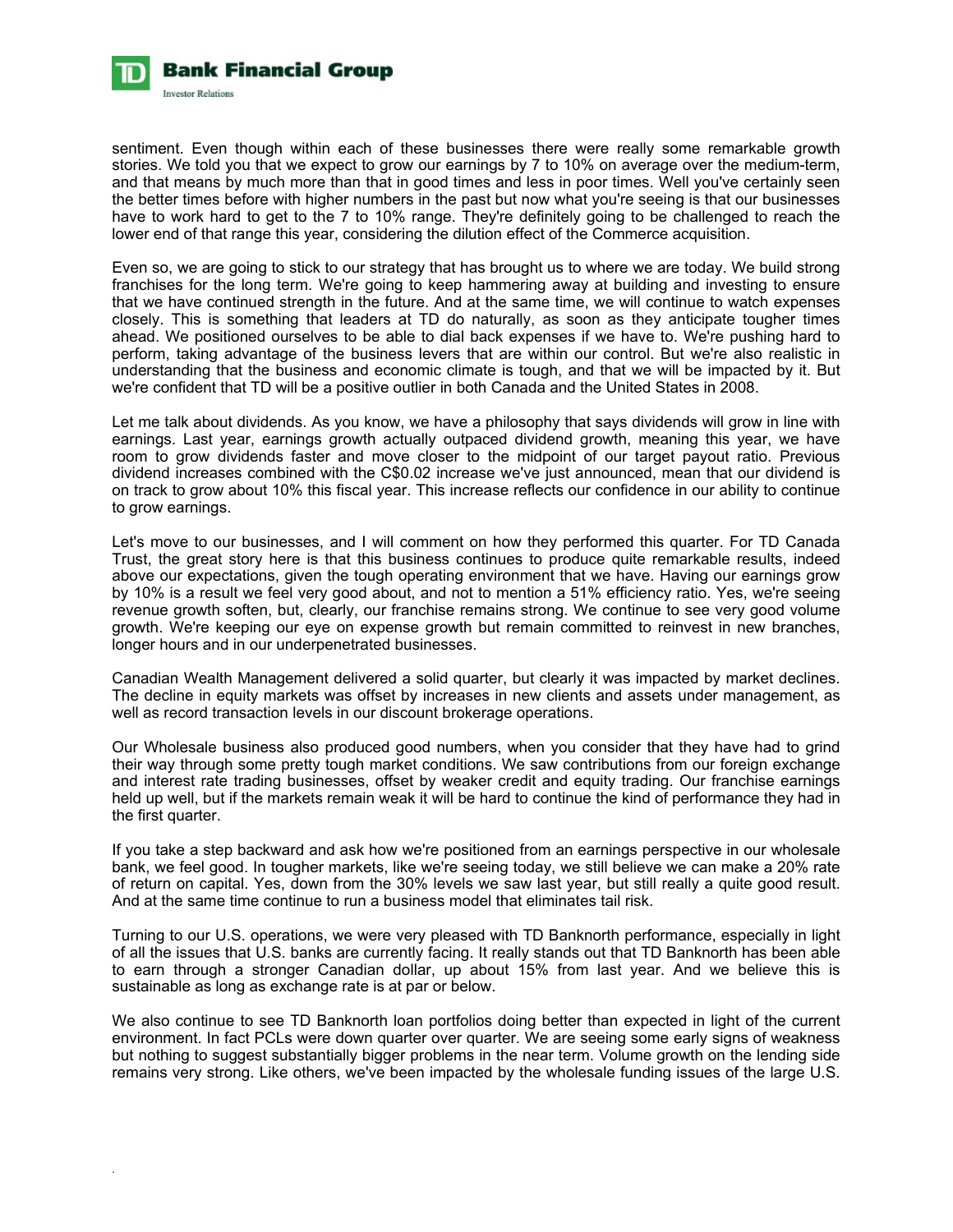

sentiment. Even though within each of these businesses there were really some remarkable growth stories. We told you that we expect to grow our earnings by 7 to 10% on average over the medium-term, and that means by much more than that in good times and less in poor times. Well you've certainly seen the better times before with higher numbers in the past but now what you're seeing is that our businesses have to work hard to get to the 7 to 10% range. They're definitely going to be challenged to reach the lower end of that range this year, considering the dilution effect of the Commerce acquisition.

Even so, we are going to stick to our strategy that has brought us to where we are today. We build strong franchises for the long term. We're going to keep hammering away at building and investing to ensure that we have continued strength in the future. And at the same time, we will continue to watch expenses closely. This is something that leaders at TD do naturally, as soon as they anticipate tougher times ahead. We positioned ourselves to be able to dial back expenses if we have to. We're pushing hard to perform, taking advantage of the business levers that are within our control. But we're also realistic in understanding that the business and economic climate is tough, and that we will be impacted by it. But we're confident that TD will be a positive outlier in both Canada and the United States in 2008.

Let me talk about dividends. As you know, we have a philosophy that says dividends will grow in line with earnings. Last year, earnings growth actually outpaced dividend growth, meaning this year, we have room to grow dividends faster and move closer to the midpoint of our target payout ratio. Previous dividend increases combined with the C\$0.02 increase we've just announced, mean that our dividend is on track to grow about 10% this fiscal year. This increase reflects our confidence in our ability to continue to grow earnings.

Let's move to our businesses, and I will comment on how they performed this quarter. For TD Canada Trust, the great story here is that this business continues to produce quite remarkable results, indeed above our expectations, given the tough operating environment that we have. Having our earnings grow by 10% is a result we feel very good about, and not to mention a 51% efficiency ratio. Yes, we're seeing revenue growth soften, but, clearly, our franchise remains strong. We continue to see very good volume growth. We're keeping our eye on expense growth but remain committed to reinvest in new branches, longer hours and in our underpenetrated businesses.

Canadian Wealth Management delivered a solid quarter, but clearly it was impacted by market declines. The decline in equity markets was offset by increases in new clients and assets under management, as well as record transaction levels in our discount brokerage operations.

Our Wholesale business also produced good numbers, when you consider that they have had to grind their way through some pretty tough market conditions. We saw contributions from our foreign exchange and interest rate trading businesses, offset by weaker credit and equity trading. Our franchise earnings held up well, but if the markets remain weak it will be hard to continue the kind of performance they had in the first quarter.

If you take a step backward and ask how we're positioned from an earnings perspective in our wholesale bank, we feel good. In tougher markets, like we're seeing today, we still believe we can make a 20% rate of return on capital. Yes, down from the 30% levels we saw last year, but still really a quite good result. And at the same time continue to run a business model that eliminates tail risk.

Turning to our U.S. operations, we were very pleased with TD Banknorth performance, especially in light of all the issues that U.S. banks are currently facing. It really stands out that TD Banknorth has been able to earn through a stronger Canadian dollar, up about 15% from last year. And we believe this is sustainable as long as exchange rate is at par or below.

We also continue to see TD Banknorth loan portfolios doing better than expected in light of the current environment. In fact PCLs were down quarter over quarter. We are seeing some early signs of weakness but nothing to suggest substantially bigger problems in the near term. Volume growth on the lending side remains very strong. Like others, we've been impacted by the wholesale funding issues of the large U.S.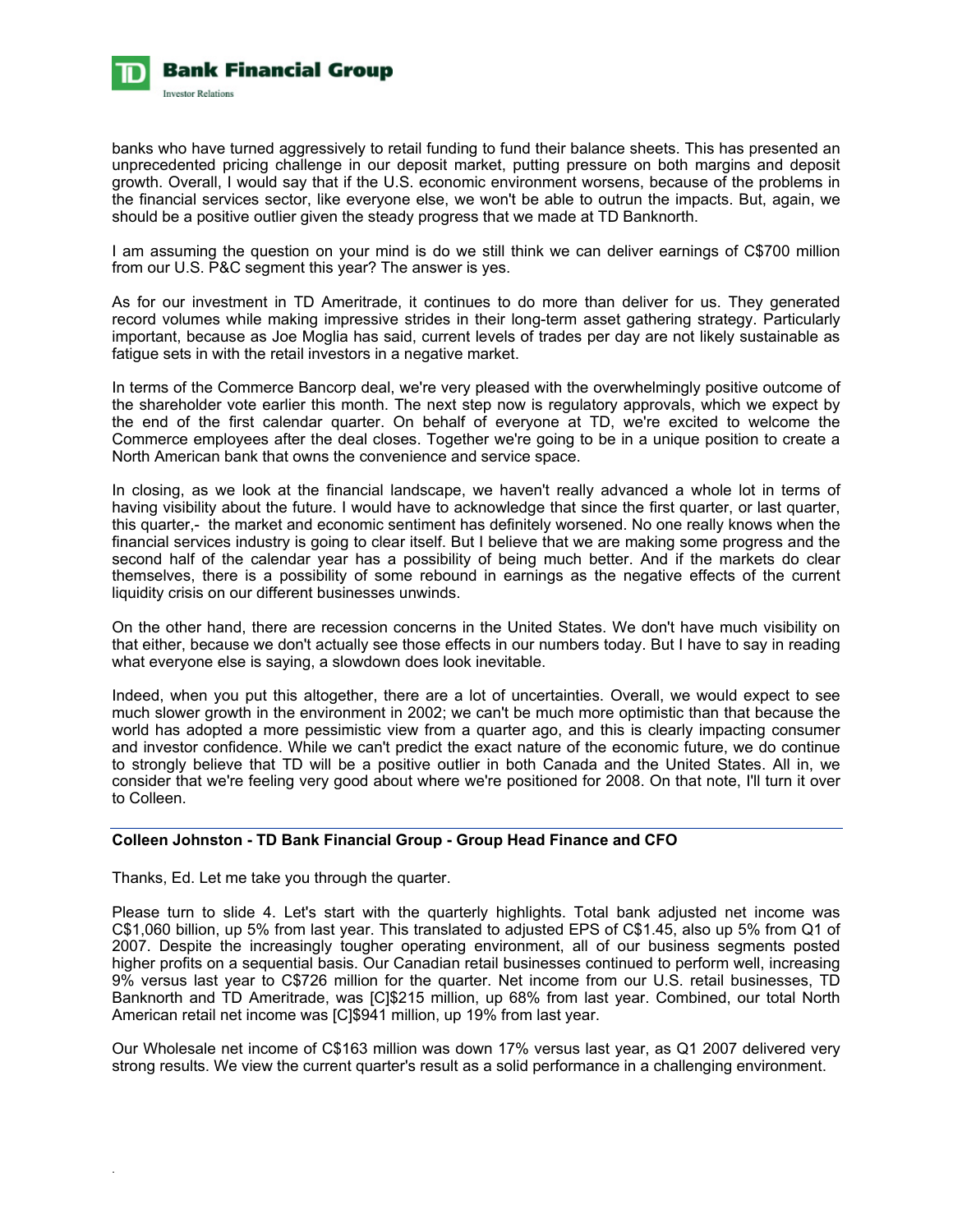

banks who have turned aggressively to retail funding to fund their balance sheets. This has presented an unprecedented pricing challenge in our deposit market, putting pressure on both margins and deposit growth. Overall, I would say that if the U.S. economic environment worsens, because of the problems in the financial services sector, like everyone else, we won't be able to outrun the impacts. But, again, we should be a positive outlier given the steady progress that we made at TD Banknorth.

I am assuming the question on your mind is do we still think we can deliver earnings of C\$700 million from our U.S. P&C segment this year? The answer is yes.

As for our investment in TD Ameritrade, it continues to do more than deliver for us. They generated record volumes while making impressive strides in their long-term asset gathering strategy. Particularly important, because as Joe Moglia has said, current levels of trades per day are not likely sustainable as fatigue sets in with the retail investors in a negative market.

In terms of the Commerce Bancorp deal, we're very pleased with the overwhelmingly positive outcome of the shareholder vote earlier this month. The next step now is regulatory approvals, which we expect by the end of the first calendar quarter. On behalf of everyone at TD, we're excited to welcome the Commerce employees after the deal closes. Together we're going to be in a unique position to create a North American bank that owns the convenience and service space.

In closing, as we look at the financial landscape, we haven't really advanced a whole lot in terms of having visibility about the future. I would have to acknowledge that since the first quarter, or last quarter, this quarter,- the market and economic sentiment has definitely worsened. No one really knows when the financial services industry is going to clear itself. But I believe that we are making some progress and the second half of the calendar year has a possibility of being much better. And if the markets do clear themselves, there is a possibility of some rebound in earnings as the negative effects of the current liquidity crisis on our different businesses unwinds.

On the other hand, there are recession concerns in the United States. We don't have much visibility on that either, because we don't actually see those effects in our numbers today. But I have to say in reading what everyone else is saying, a slowdown does look inevitable.

Indeed, when you put this altogether, there are a lot of uncertainties. Overall, we would expect to see much slower growth in the environment in 2002; we can't be much more optimistic than that because the world has adopted a more pessimistic view from a quarter ago, and this is clearly impacting consumer and investor confidence. While we can't predict the exact nature of the economic future, we do continue to strongly believe that TD will be a positive outlier in both Canada and the United States. All in, we consider that we're feeling very good about where we're positioned for 2008. On that note, I'll turn it over to Colleen.

### **Colleen Johnston - TD Bank Financial Group - Group Head Finance and CFO**

Thanks, Ed. Let me take you through the quarter.

.

Please turn to slide 4. Let's start with the quarterly highlights. Total bank adjusted net income was C\$1,060 billion, up 5% from last year. This translated to adjusted EPS of C\$1.45, also up 5% from Q1 of 2007. Despite the increasingly tougher operating environment, all of our business segments posted higher profits on a sequential basis. Our Canadian retail businesses continued to perform well, increasing 9% versus last year to C\$726 million for the quarter. Net income from our U.S. retail businesses, TD Banknorth and TD Ameritrade, was [C]\$215 million, up 68% from last year. Combined, our total North American retail net income was [C]\$941 million, up 19% from last year.

Our Wholesale net income of C\$163 million was down 17% versus last year, as Q1 2007 delivered very strong results. We view the current quarter's result as a solid performance in a challenging environment.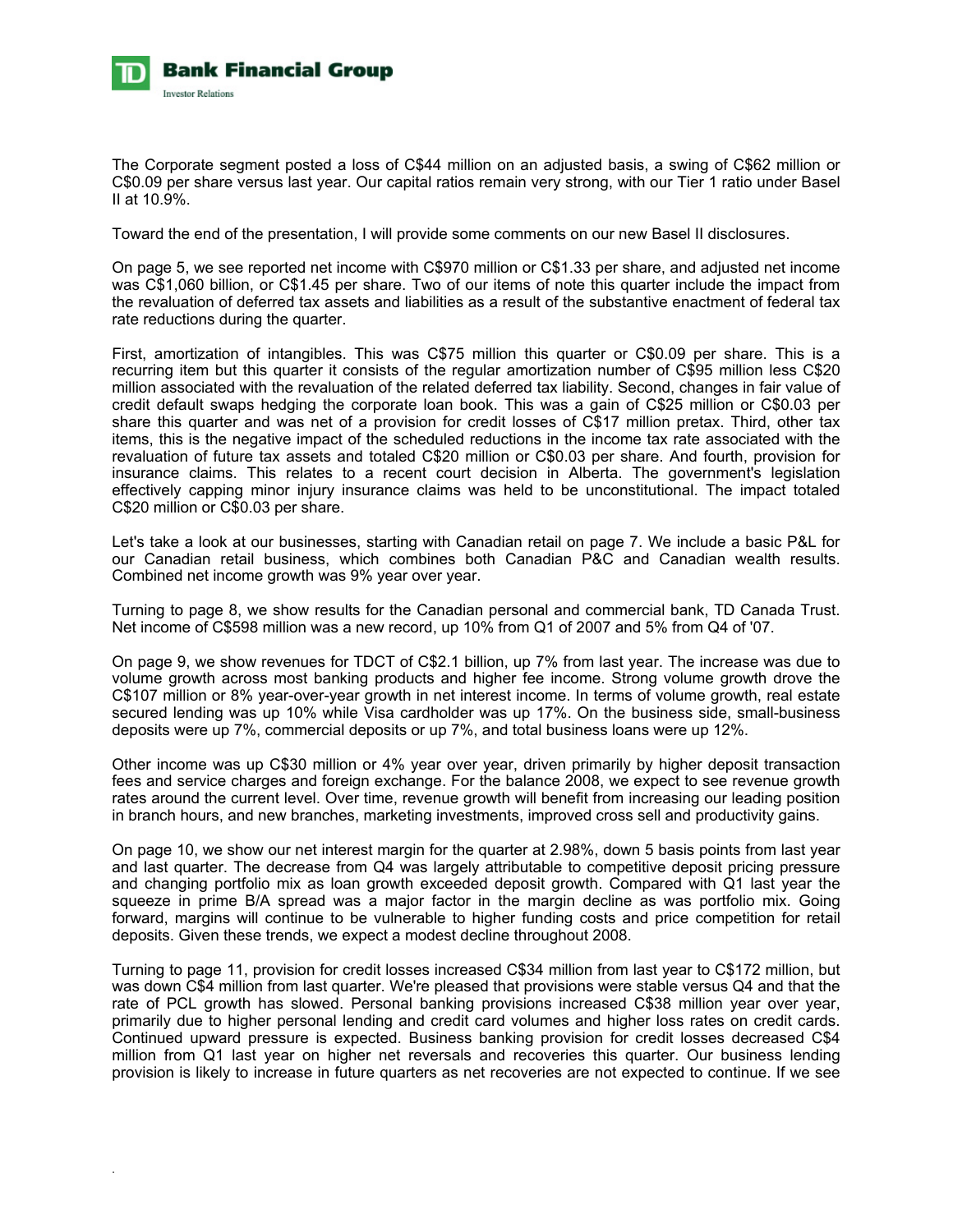

The Corporate segment posted a loss of C\$44 million on an adjusted basis, a swing of C\$62 million or C\$0.09 per share versus last year. Our capital ratios remain very strong, with our Tier 1 ratio under Basel II at 10.9%.

Toward the end of the presentation, I will provide some comments on our new Basel II disclosures.

On page 5, we see reported net income with C\$970 million or C\$1.33 per share, and adjusted net income was C\$1,060 billion, or C\$1.45 per share. Two of our items of note this quarter include the impact from the revaluation of deferred tax assets and liabilities as a result of the substantive enactment of federal tax rate reductions during the quarter.

First, amortization of intangibles. This was C\$75 million this quarter or C\$0.09 per share. This is a recurring item but this quarter it consists of the regular amortization number of C\$95 million less C\$20 million associated with the revaluation of the related deferred tax liability. Second, changes in fair value of credit default swaps hedging the corporate loan book. This was a gain of C\$25 million or C\$0.03 per share this quarter and was net of a provision for credit losses of C\$17 million pretax. Third, other tax items, this is the negative impact of the scheduled reductions in the income tax rate associated with the revaluation of future tax assets and totaled C\$20 million or C\$0.03 per share. And fourth, provision for insurance claims. This relates to a recent court decision in Alberta. The government's legislation effectively capping minor injury insurance claims was held to be unconstitutional. The impact totaled C\$20 million or C\$0.03 per share.

Let's take a look at our businesses, starting with Canadian retail on page 7. We include a basic P&L for our Canadian retail business, which combines both Canadian P&C and Canadian wealth results. Combined net income growth was 9% year over year.

Turning to page 8, we show results for the Canadian personal and commercial bank, TD Canada Trust. Net income of C\$598 million was a new record, up 10% from Q1 of 2007 and 5% from Q4 of '07.

On page 9, we show revenues for TDCT of C\$2.1 billion, up 7% from last year. The increase was due to volume growth across most banking products and higher fee income. Strong volume growth drove the C\$107 million or 8% year-over-year growth in net interest income. In terms of volume growth, real estate secured lending was up 10% while Visa cardholder was up 17%. On the business side, small-business deposits were up 7%, commercial deposits or up 7%, and total business loans were up 12%.

Other income was up C\$30 million or 4% year over year, driven primarily by higher deposit transaction fees and service charges and foreign exchange. For the balance 2008, we expect to see revenue growth rates around the current level. Over time, revenue growth will benefit from increasing our leading position in branch hours, and new branches, marketing investments, improved cross sell and productivity gains.

On page 10, we show our net interest margin for the quarter at 2.98%, down 5 basis points from last year and last quarter. The decrease from Q4 was largely attributable to competitive deposit pricing pressure and changing portfolio mix as loan growth exceeded deposit growth. Compared with Q1 last year the squeeze in prime B/A spread was a major factor in the margin decline as was portfolio mix. Going forward, margins will continue to be vulnerable to higher funding costs and price competition for retail deposits. Given these trends, we expect a modest decline throughout 2008.

Turning to page 11, provision for credit losses increased C\$34 million from last year to C\$172 million, but was down C\$4 million from last quarter. We're pleased that provisions were stable versus Q4 and that the rate of PCL growth has slowed. Personal banking provisions increased C\$38 million year over year, primarily due to higher personal lending and credit card volumes and higher loss rates on credit cards. Continued upward pressure is expected. Business banking provision for credit losses decreased C\$4 million from Q1 last year on higher net reversals and recoveries this quarter. Our business lending provision is likely to increase in future quarters as net recoveries are not expected to continue. If we see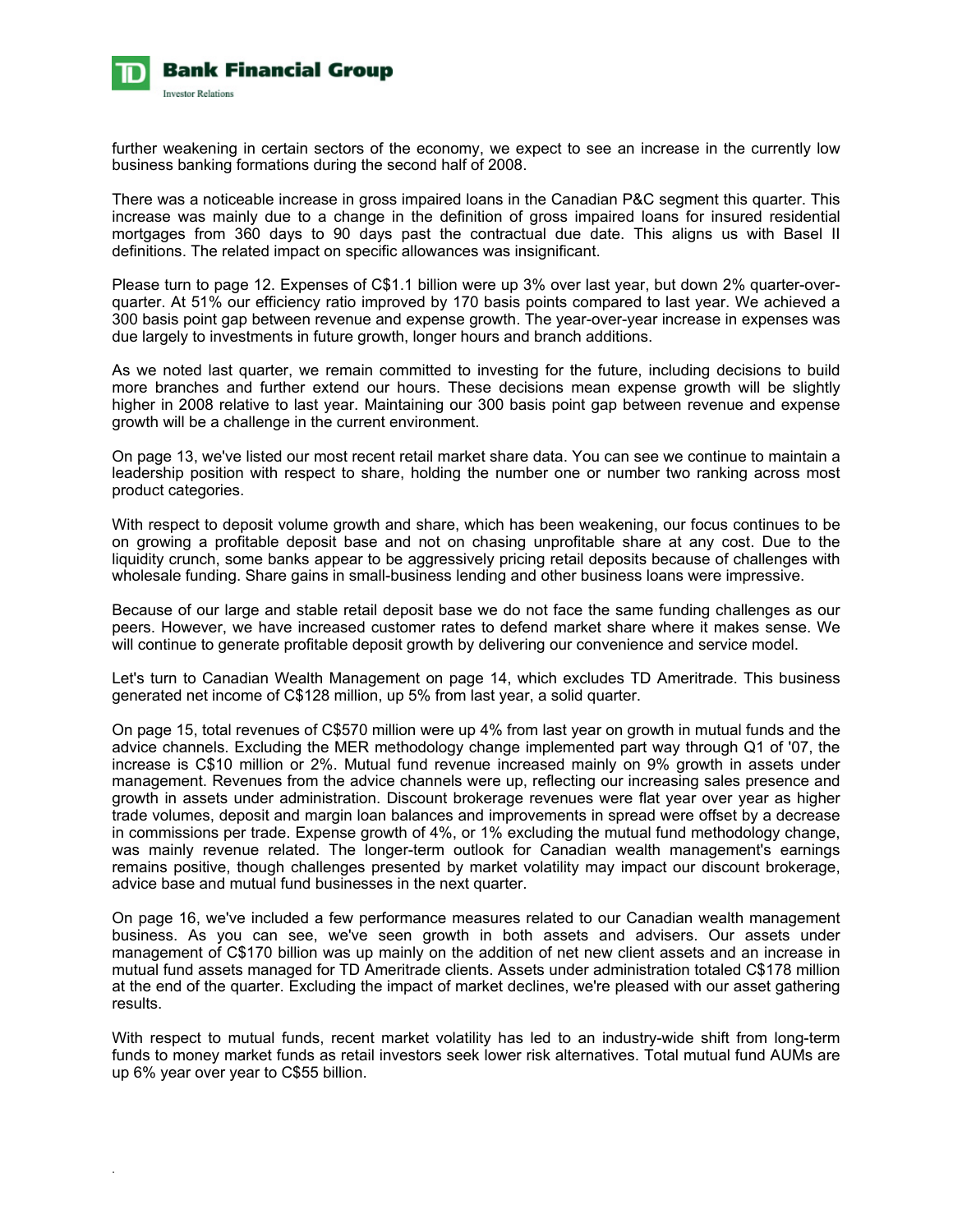

further weakening in certain sectors of the economy, we expect to see an increase in the currently low business banking formations during the second half of 2008.

There was a noticeable increase in gross impaired loans in the Canadian P&C segment this quarter. This increase was mainly due to a change in the definition of gross impaired loans for insured residential mortgages from 360 days to 90 days past the contractual due date. This aligns us with Basel II definitions. The related impact on specific allowances was insignificant.

Please turn to page 12. Expenses of C\$1.1 billion were up 3% over last year, but down 2% quarter-overquarter. At 51% our efficiency ratio improved by 170 basis points compared to last year. We achieved a 300 basis point gap between revenue and expense growth. The year-over-year increase in expenses was due largely to investments in future growth, longer hours and branch additions.

As we noted last quarter, we remain committed to investing for the future, including decisions to build more branches and further extend our hours. These decisions mean expense growth will be slightly higher in 2008 relative to last year. Maintaining our 300 basis point gap between revenue and expense growth will be a challenge in the current environment.

On page 13, we've listed our most recent retail market share data. You can see we continue to maintain a leadership position with respect to share, holding the number one or number two ranking across most product categories.

With respect to deposit volume growth and share, which has been weakening, our focus continues to be on growing a profitable deposit base and not on chasing unprofitable share at any cost. Due to the liquidity crunch, some banks appear to be aggressively pricing retail deposits because of challenges with wholesale funding. Share gains in small-business lending and other business loans were impressive.

Because of our large and stable retail deposit base we do not face the same funding challenges as our peers. However, we have increased customer rates to defend market share where it makes sense. We will continue to generate profitable deposit growth by delivering our convenience and service model.

Let's turn to Canadian Wealth Management on page 14, which excludes TD Ameritrade. This business generated net income of C\$128 million, up 5% from last year, a solid quarter.

On page 15, total revenues of C\$570 million were up 4% from last year on growth in mutual funds and the advice channels. Excluding the MER methodology change implemented part way through Q1 of '07, the increase is C\$10 million or 2%. Mutual fund revenue increased mainly on 9% growth in assets under management. Revenues from the advice channels were up, reflecting our increasing sales presence and growth in assets under administration. Discount brokerage revenues were flat year over year as higher trade volumes, deposit and margin loan balances and improvements in spread were offset by a decrease in commissions per trade. Expense growth of 4%, or 1% excluding the mutual fund methodology change, was mainly revenue related. The longer-term outlook for Canadian wealth management's earnings remains positive, though challenges presented by market volatility may impact our discount brokerage, advice base and mutual fund businesses in the next quarter.

On page 16, we've included a few performance measures related to our Canadian wealth management business. As you can see, we've seen growth in both assets and advisers. Our assets under management of C\$170 billion was up mainly on the addition of net new client assets and an increase in mutual fund assets managed for TD Ameritrade clients. Assets under administration totaled C\$178 million at the end of the quarter. Excluding the impact of market declines, we're pleased with our asset gathering results.

With respect to mutual funds, recent market volatility has led to an industry-wide shift from long-term funds to money market funds as retail investors seek lower risk alternatives. Total mutual fund AUMs are up 6% year over year to C\$55 billion.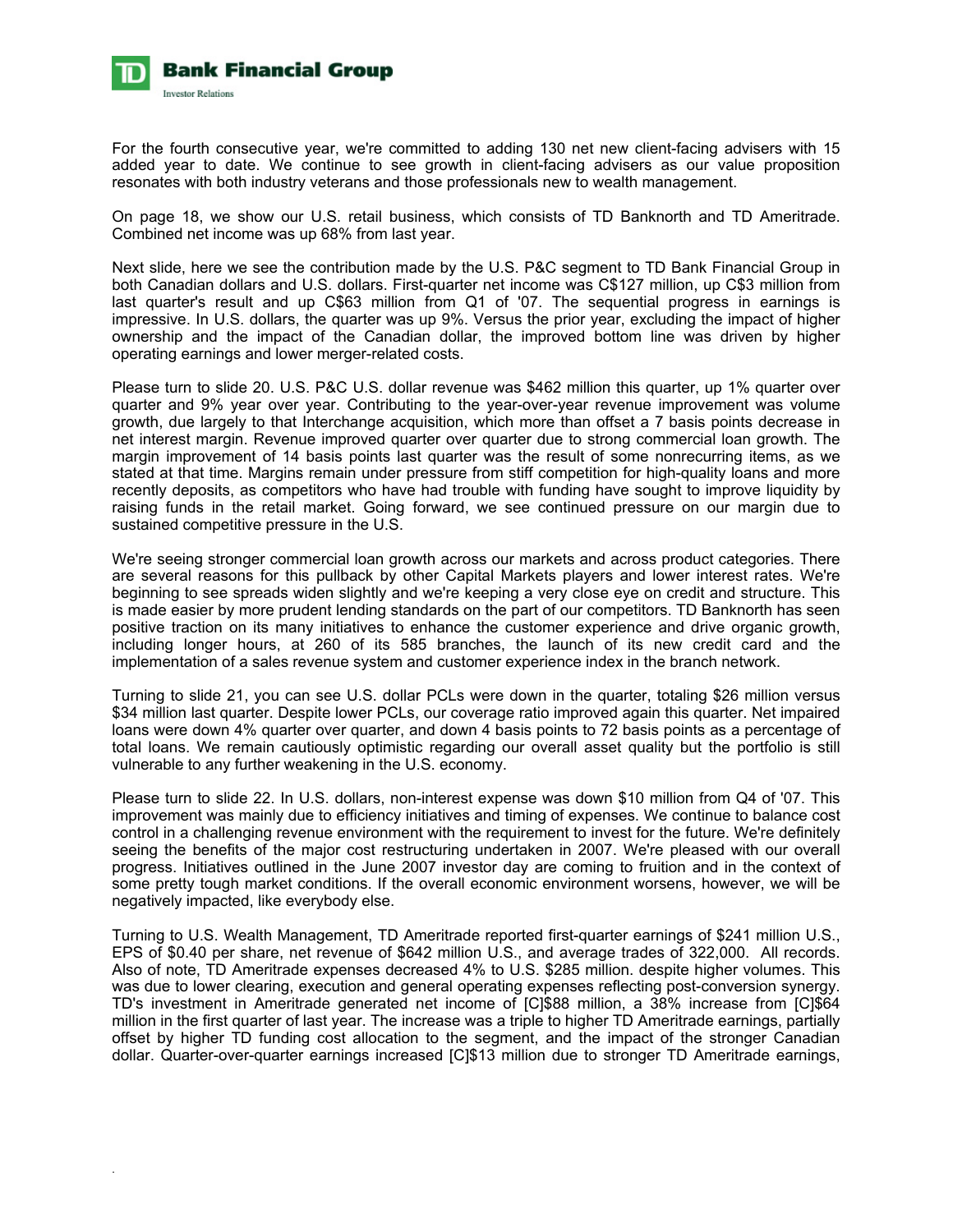

For the fourth consecutive year, we're committed to adding 130 net new client-facing advisers with 15 added year to date. We continue to see growth in client-facing advisers as our value proposition resonates with both industry veterans and those professionals new to wealth management.

On page 18, we show our U.S. retail business, which consists of TD Banknorth and TD Ameritrade. Combined net income was up 68% from last year.

Next slide, here we see the contribution made by the U.S. P&C segment to TD Bank Financial Group in both Canadian dollars and U.S. dollars. First-quarter net income was C\$127 million, up C\$3 million from last quarter's result and up C\$63 million from Q1 of '07. The sequential progress in earnings is impressive. In U.S. dollars, the quarter was up 9%. Versus the prior year, excluding the impact of higher ownership and the impact of the Canadian dollar, the improved bottom line was driven by higher operating earnings and lower merger-related costs.

Please turn to slide 20. U.S. P&C U.S. dollar revenue was \$462 million this quarter, up 1% quarter over quarter and 9% year over year. Contributing to the year-over-year revenue improvement was volume growth, due largely to that Interchange acquisition, which more than offset a 7 basis points decrease in net interest margin. Revenue improved quarter over quarter due to strong commercial loan growth. The margin improvement of 14 basis points last quarter was the result of some nonrecurring items, as we stated at that time. Margins remain under pressure from stiff competition for high-quality loans and more recently deposits, as competitors who have had trouble with funding have sought to improve liquidity by raising funds in the retail market. Going forward, we see continued pressure on our margin due to sustained competitive pressure in the U.S.

We're seeing stronger commercial loan growth across our markets and across product categories. There are several reasons for this pullback by other Capital Markets players and lower interest rates. We're beginning to see spreads widen slightly and we're keeping a very close eye on credit and structure. This is made easier by more prudent lending standards on the part of our competitors. TD Banknorth has seen positive traction on its many initiatives to enhance the customer experience and drive organic growth, including longer hours, at 260 of its 585 branches, the launch of its new credit card and the implementation of a sales revenue system and customer experience index in the branch network.

Turning to slide 21, you can see U.S. dollar PCLs were down in the quarter, totaling \$26 million versus \$34 million last quarter. Despite lower PCLs, our coverage ratio improved again this quarter. Net impaired loans were down 4% quarter over quarter, and down 4 basis points to 72 basis points as a percentage of total loans. We remain cautiously optimistic regarding our overall asset quality but the portfolio is still vulnerable to any further weakening in the U.S. economy.

Please turn to slide 22. In U.S. dollars, non-interest expense was down \$10 million from Q4 of '07. This improvement was mainly due to efficiency initiatives and timing of expenses. We continue to balance cost control in a challenging revenue environment with the requirement to invest for the future. We're definitely seeing the benefits of the major cost restructuring undertaken in 2007. We're pleased with our overall progress. Initiatives outlined in the June 2007 investor day are coming to fruition and in the context of some pretty tough market conditions. If the overall economic environment worsens, however, we will be negatively impacted, like everybody else.

Turning to U.S. Wealth Management, TD Ameritrade reported first-quarter earnings of \$241 million U.S., EPS of \$0.40 per share, net revenue of \$642 million U.S., and average trades of 322,000. All records. Also of note, TD Ameritrade expenses decreased 4% to U.S. \$285 million. despite higher volumes. This was due to lower clearing, execution and general operating expenses reflecting post-conversion synergy. TD's investment in Ameritrade generated net income of [C]\$88 million, a 38% increase from [C]\$64 million in the first quarter of last year. The increase was a triple to higher TD Ameritrade earnings, partially offset by higher TD funding cost allocation to the segment, and the impact of the stronger Canadian dollar. Quarter-over-quarter earnings increased [C]\$13 million due to stronger TD Ameritrade earnings,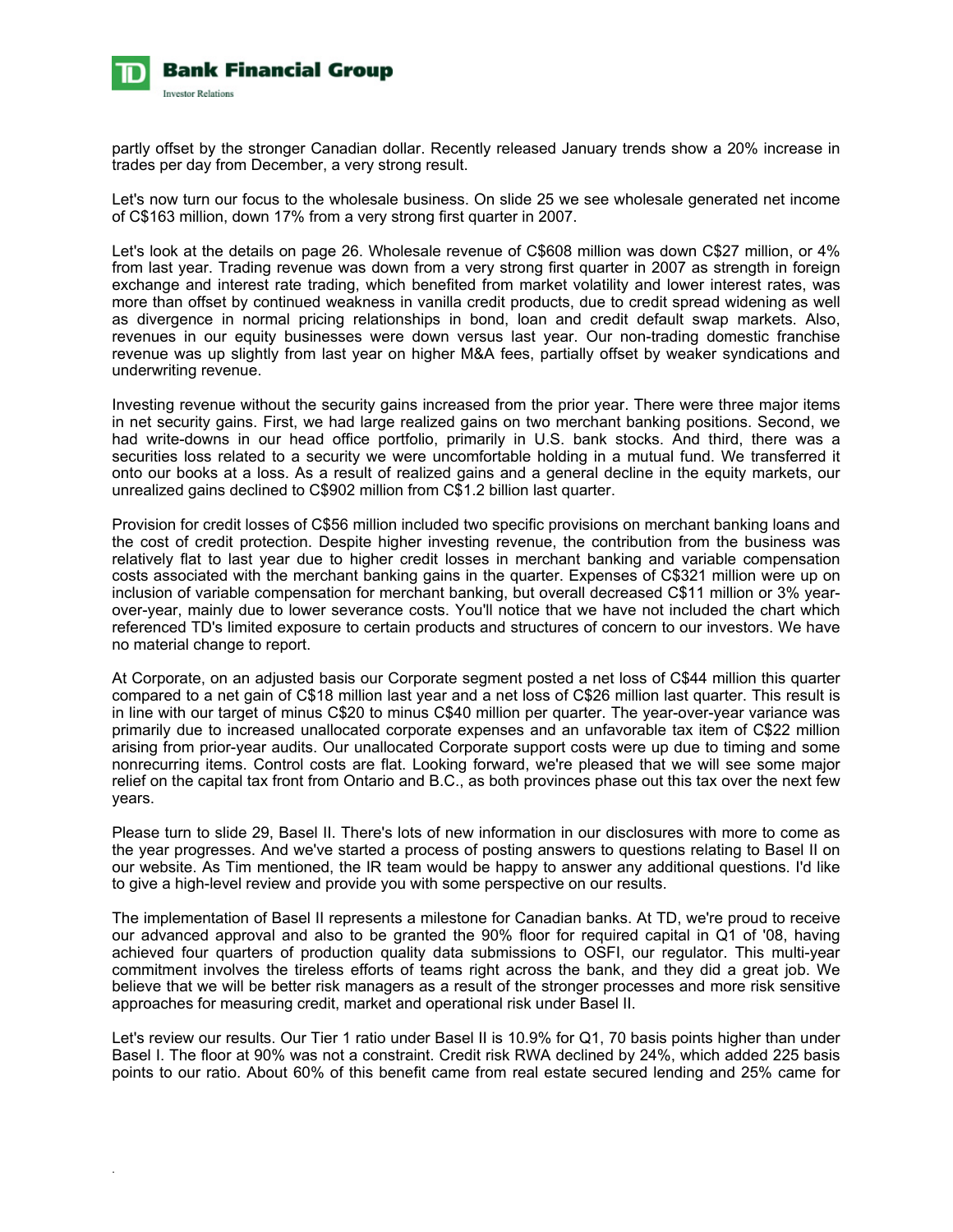

partly offset by the stronger Canadian dollar. Recently released January trends show a 20% increase in trades per day from December, a very strong result.

Let's now turn our focus to the wholesale business. On slide 25 we see wholesale generated net income of C\$163 million, down 17% from a very strong first quarter in 2007.

Let's look at the details on page 26. Wholesale revenue of C\$608 million was down C\$27 million, or 4% from last year. Trading revenue was down from a very strong first quarter in 2007 as strength in foreign exchange and interest rate trading, which benefited from market volatility and lower interest rates, was more than offset by continued weakness in vanilla credit products, due to credit spread widening as well as divergence in normal pricing relationships in bond, loan and credit default swap markets. Also, revenues in our equity businesses were down versus last year. Our non-trading domestic franchise revenue was up slightly from last year on higher M&A fees, partially offset by weaker syndications and underwriting revenue.

Investing revenue without the security gains increased from the prior year. There were three major items in net security gains. First, we had large realized gains on two merchant banking positions. Second, we had write-downs in our head office portfolio, primarily in U.S. bank stocks. And third, there was a securities loss related to a security we were uncomfortable holding in a mutual fund. We transferred it onto our books at a loss. As a result of realized gains and a general decline in the equity markets, our unrealized gains declined to C\$902 million from C\$1.2 billion last quarter.

Provision for credit losses of C\$56 million included two specific provisions on merchant banking loans and the cost of credit protection. Despite higher investing revenue, the contribution from the business was relatively flat to last year due to higher credit losses in merchant banking and variable compensation costs associated with the merchant banking gains in the quarter. Expenses of C\$321 million were up on inclusion of variable compensation for merchant banking, but overall decreased C\$11 million or 3% yearover-year, mainly due to lower severance costs. You'll notice that we have not included the chart which referenced TD's limited exposure to certain products and structures of concern to our investors. We have no material change to report.

At Corporate, on an adjusted basis our Corporate segment posted a net loss of C\$44 million this quarter compared to a net gain of C\$18 million last year and a net loss of C\$26 million last quarter. This result is in line with our target of minus C\$20 to minus C\$40 million per quarter. The year-over-year variance was primarily due to increased unallocated corporate expenses and an unfavorable tax item of C\$22 million arising from prior-year audits. Our unallocated Corporate support costs were up due to timing and some nonrecurring items. Control costs are flat. Looking forward, we're pleased that we will see some major relief on the capital tax front from Ontario and B.C., as both provinces phase out this tax over the next few years.

Please turn to slide 29, Basel II. There's lots of new information in our disclosures with more to come as the year progresses. And we've started a process of posting answers to questions relating to Basel II on our website. As Tim mentioned, the IR team would be happy to answer any additional questions. I'd like to give a high-level review and provide you with some perspective on our results.

The implementation of Basel II represents a milestone for Canadian banks. At TD, we're proud to receive our advanced approval and also to be granted the 90% floor for required capital in Q1 of '08, having achieved four quarters of production quality data submissions to OSFI, our regulator. This multi-year commitment involves the tireless efforts of teams right across the bank, and they did a great job. We believe that we will be better risk managers as a result of the stronger processes and more risk sensitive approaches for measuring credit, market and operational risk under Basel II.

Let's review our results. Our Tier 1 ratio under Basel II is 10.9% for Q1, 70 basis points higher than under Basel I. The floor at 90% was not a constraint. Credit risk RWA declined by 24%, which added 225 basis points to our ratio. About 60% of this benefit came from real estate secured lending and 25% came for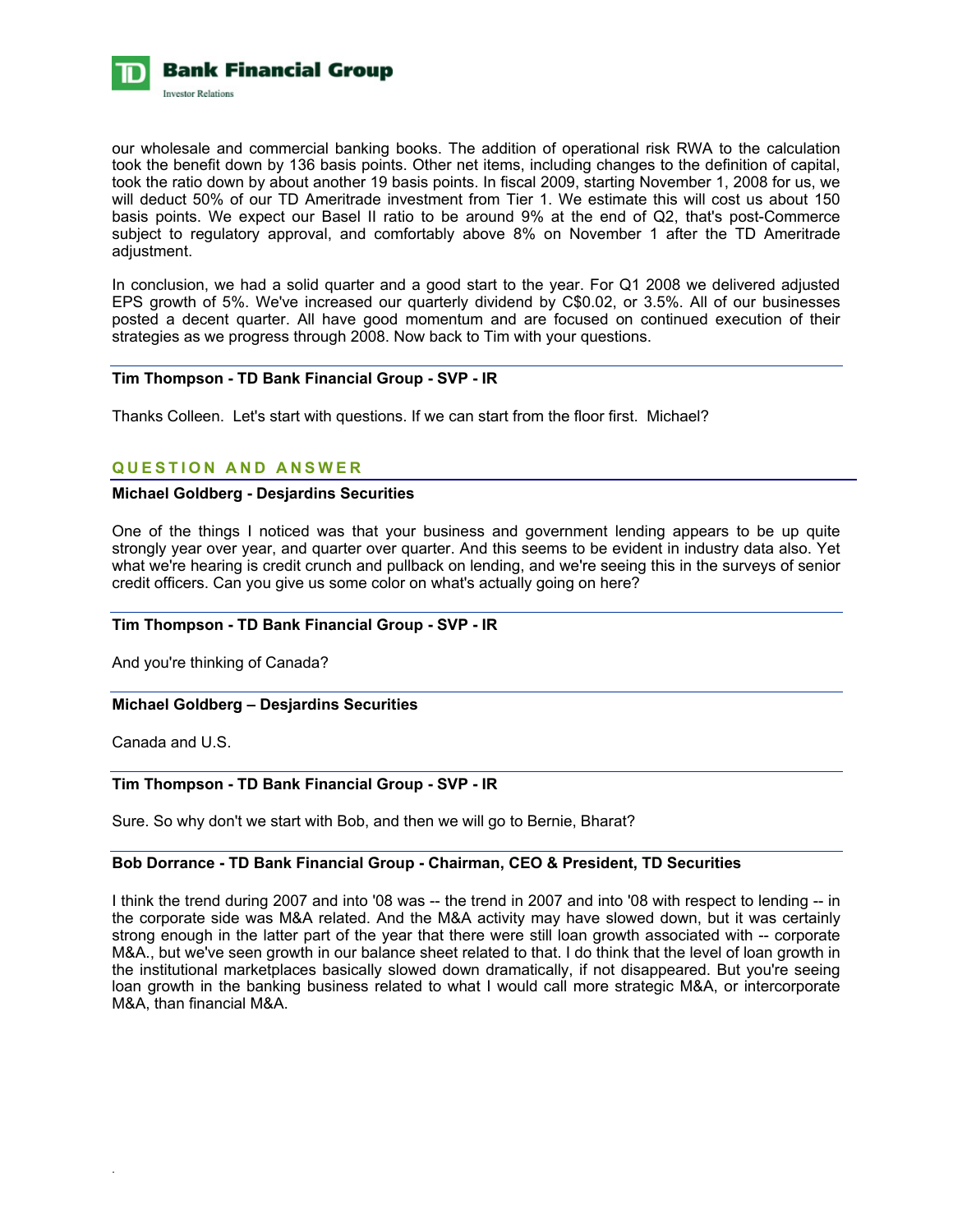

our wholesale and commercial banking books. The addition of operational risk RWA to the calculation took the benefit down by 136 basis points. Other net items, including changes to the definition of capital, took the ratio down by about another 19 basis points. In fiscal 2009, starting November 1, 2008 for us, we will deduct 50% of our TD Ameritrade investment from Tier 1. We estimate this will cost us about 150 basis points. We expect our Basel II ratio to be around 9% at the end of Q2, that's post-Commerce subject to regulatory approval, and comfortably above 8% on November 1 after the TD Ameritrade adiustment.

In conclusion, we had a solid quarter and a good start to the year. For Q1 2008 we delivered adjusted EPS growth of 5%. We've increased our quarterly dividend by C\$0.02, or 3.5%. All of our businesses posted a decent quarter. All have good momentum and are focused on continued execution of their strategies as we progress through 2008. Now back to Tim with your questions.

### **Tim Thompson - TD Bank Financial Group - SVP - IR**

Thanks Colleen. Let's start with questions. If we can start from the floor first. Michael?

### **QUESTION AND ANSWER**

### **Michael Goldberg - Desjardins Securities**

One of the things I noticed was that your business and government lending appears to be up quite strongly year over year, and quarter over quarter. And this seems to be evident in industry data also. Yet what we're hearing is credit crunch and pullback on lending, and we're seeing this in the surveys of senior credit officers. Can you give us some color on what's actually going on here?

### **Tim Thompson - TD Bank Financial Group - SVP - IR**

And you're thinking of Canada?

### **Michael Goldberg – Desjardins Securities**

Canada and U.S.

.

### **Tim Thompson - TD Bank Financial Group - SVP - IR**

Sure. So why don't we start with Bob, and then we will go to Bernie, Bharat?

### **Bob Dorrance - TD Bank Financial Group - Chairman, CEO & President, TD Securities**

I think the trend during 2007 and into '08 was -- the trend in 2007 and into '08 with respect to lending -- in the corporate side was M&A related. And the M&A activity may have slowed down, but it was certainly strong enough in the latter part of the year that there were still loan growth associated with -- corporate M&A., but we've seen growth in our balance sheet related to that. I do think that the level of loan growth in the institutional marketplaces basically slowed down dramatically, if not disappeared. But you're seeing loan growth in the banking business related to what I would call more strategic M&A, or intercorporate M&A, than financial M&A.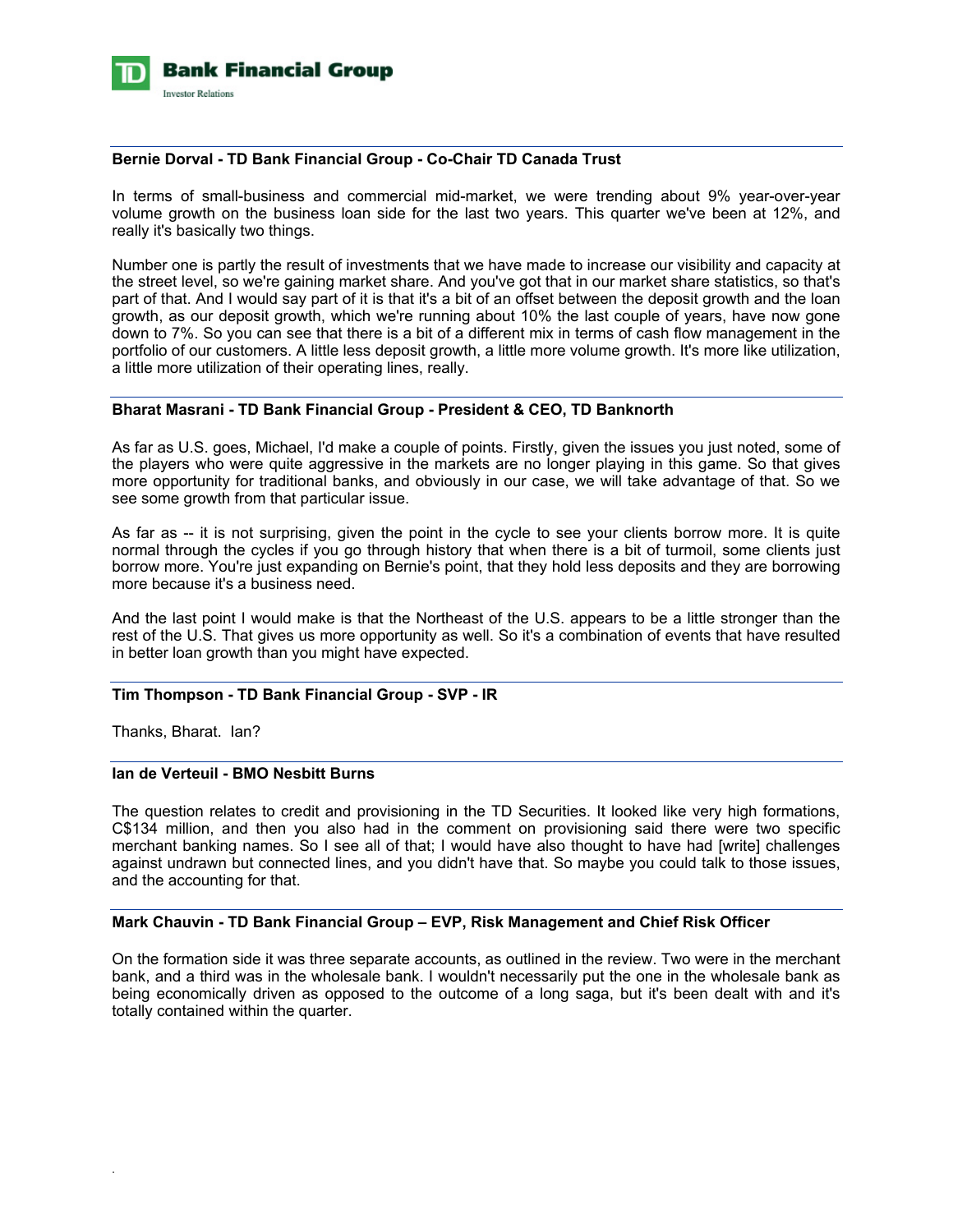

### **Bernie Dorval - TD Bank Financial Group - Co-Chair TD Canada Trust**

In terms of small-business and commercial mid-market, we were trending about 9% year-over-year volume growth on the business loan side for the last two years. This quarter we've been at 12%, and really it's basically two things.

Number one is partly the result of investments that we have made to increase our visibility and capacity at the street level, so we're gaining market share. And you've got that in our market share statistics, so that's part of that. And I would say part of it is that it's a bit of an offset between the deposit growth and the loan growth, as our deposit growth, which we're running about 10% the last couple of years, have now gone down to 7%. So you can see that there is a bit of a different mix in terms of cash flow management in the portfolio of our customers. A little less deposit growth, a little more volume growth. It's more like utilization, a little more utilization of their operating lines, really.

### **Bharat Masrani - TD Bank Financial Group - President & CEO, TD Banknorth**

As far as U.S. goes, Michael, I'd make a couple of points. Firstly, given the issues you just noted, some of the players who were quite aggressive in the markets are no longer playing in this game. So that gives more opportunity for traditional banks, and obviously in our case, we will take advantage of that. So we see some growth from that particular issue.

As far as -- it is not surprising, given the point in the cycle to see your clients borrow more. It is quite normal through the cycles if you go through history that when there is a bit of turmoil, some clients just borrow more. You're just expanding on Bernie's point, that they hold less deposits and they are borrowing more because it's a business need.

And the last point I would make is that the Northeast of the U.S. appears to be a little stronger than the rest of the U.S. That gives us more opportunity as well. So it's a combination of events that have resulted in better loan growth than you might have expected.

### **Tim Thompson - TD Bank Financial Group - SVP - IR**

Thanks, Bharat. Ian?

.

### **Ian de Verteuil - BMO Nesbitt Burns**

The question relates to credit and provisioning in the TD Securities. It looked like very high formations, C\$134 million, and then you also had in the comment on provisioning said there were two specific merchant banking names. So I see all of that; I would have also thought to have had [write] challenges against undrawn but connected lines, and you didn't have that. So maybe you could talk to those issues, and the accounting for that.

### **Mark Chauvin - TD Bank Financial Group – EVP, Risk Management and Chief Risk Officer**

On the formation side it was three separate accounts, as outlined in the review. Two were in the merchant bank, and a third was in the wholesale bank. I wouldn't necessarily put the one in the wholesale bank as being economically driven as opposed to the outcome of a long saga, but it's been dealt with and it's totally contained within the quarter.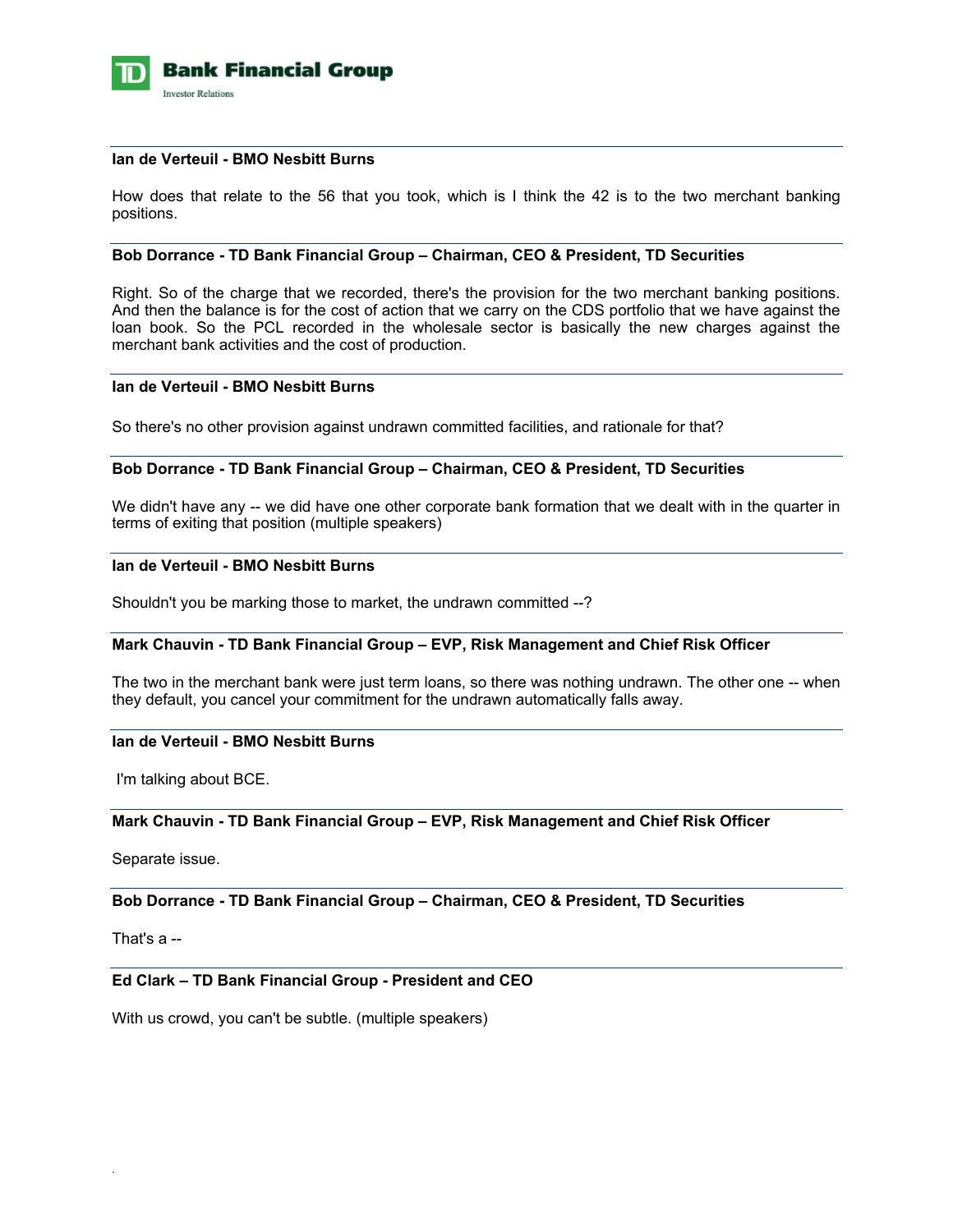

### **Ian de Verteuil - BMO Nesbitt Burns**

How does that relate to the 56 that you took, which is I think the 42 is to the two merchant banking positions.

### **Bob Dorrance - TD Bank Financial Group – Chairman, CEO & President, TD Securities**

Right. So of the charge that we recorded, there's the provision for the two merchant banking positions. And then the balance is for the cost of action that we carry on the CDS portfolio that we have against the loan book. So the PCL recorded in the wholesale sector is basically the new charges against the merchant bank activities and the cost of production.

#### **Ian de Verteuil - BMO Nesbitt Burns**

So there's no other provision against undrawn committed facilities, and rationale for that?

### **Bob Dorrance - TD Bank Financial Group – Chairman, CEO & President, TD Securities**

We didn't have any -- we did have one other corporate bank formation that we dealt with in the quarter in terms of exiting that position (multiple speakers)

### **Ian de Verteuil - BMO Nesbitt Burns**

Shouldn't you be marking those to market, the undrawn committed --?

### **Mark Chauvin - TD Bank Financial Group – EVP, Risk Management and Chief Risk Officer**

The two in the merchant bank were just term loans, so there was nothing undrawn. The other one -- when they default, you cancel your commitment for the undrawn automatically falls away.

### **Ian de Verteuil - BMO Nesbitt Burns**

I'm talking about BCE.

### **Mark Chauvin - TD Bank Financial Group – EVP, Risk Management and Chief Risk Officer**

Separate issue.

### **Bob Dorrance - TD Bank Financial Group – Chairman, CEO & President, TD Securities**

That's a --

.

### **Ed Clark – TD Bank Financial Group - President and CEO**

With us crowd, you can't be subtle. (multiple speakers)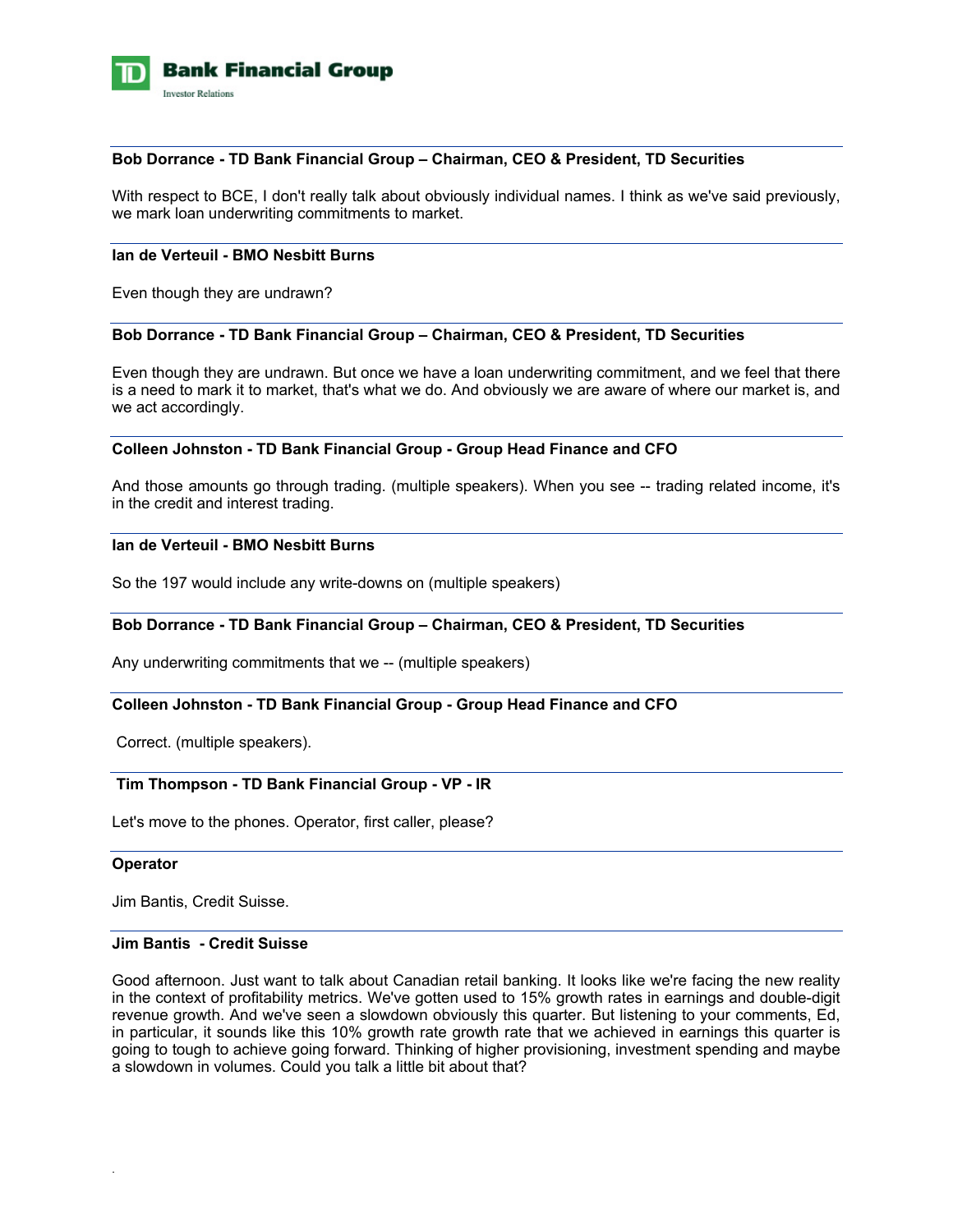

### **Bob Dorrance - TD Bank Financial Group – Chairman, CEO & President, TD Securities**

With respect to BCE, I don't really talk about obviously individual names. I think as we've said previously, we mark loan underwriting commitments to market.

### **Ian de Verteuil - BMO Nesbitt Burns**

Even though they are undrawn?

### **Bob Dorrance - TD Bank Financial Group – Chairman, CEO & President, TD Securities**

Even though they are undrawn. But once we have a loan underwriting commitment, and we feel that there is a need to mark it to market, that's what we do. And obviously we are aware of where our market is, and we act accordingly.

### **Colleen Johnston - TD Bank Financial Group - Group Head Finance and CFO**

And those amounts go through trading. (multiple speakers). When you see -- trading related income, it's in the credit and interest trading.

### **Ian de Verteuil - BMO Nesbitt Burns**

So the 197 would include any write-downs on (multiple speakers)

### **Bob Dorrance - TD Bank Financial Group – Chairman, CEO & President, TD Securities**

Any underwriting commitments that we -- (multiple speakers)

### **Colleen Johnston - TD Bank Financial Group - Group Head Finance and CFO**

Correct. (multiple speakers).

### **Tim Thompson - TD Bank Financial Group - VP - IR**

Let's move to the phones. Operator, first caller, please?

### **Operator**

.

Jim Bantis, Credit Suisse.

### **Jim Bantis - Credit Suisse**

Good afternoon. Just want to talk about Canadian retail banking. It looks like we're facing the new reality in the context of profitability metrics. We've gotten used to 15% growth rates in earnings and double-digit revenue growth. And we've seen a slowdown obviously this quarter. But listening to your comments, Ed, in particular, it sounds like this 10% growth rate growth rate that we achieved in earnings this quarter is going to tough to achieve going forward. Thinking of higher provisioning, investment spending and maybe a slowdown in volumes. Could you talk a little bit about that?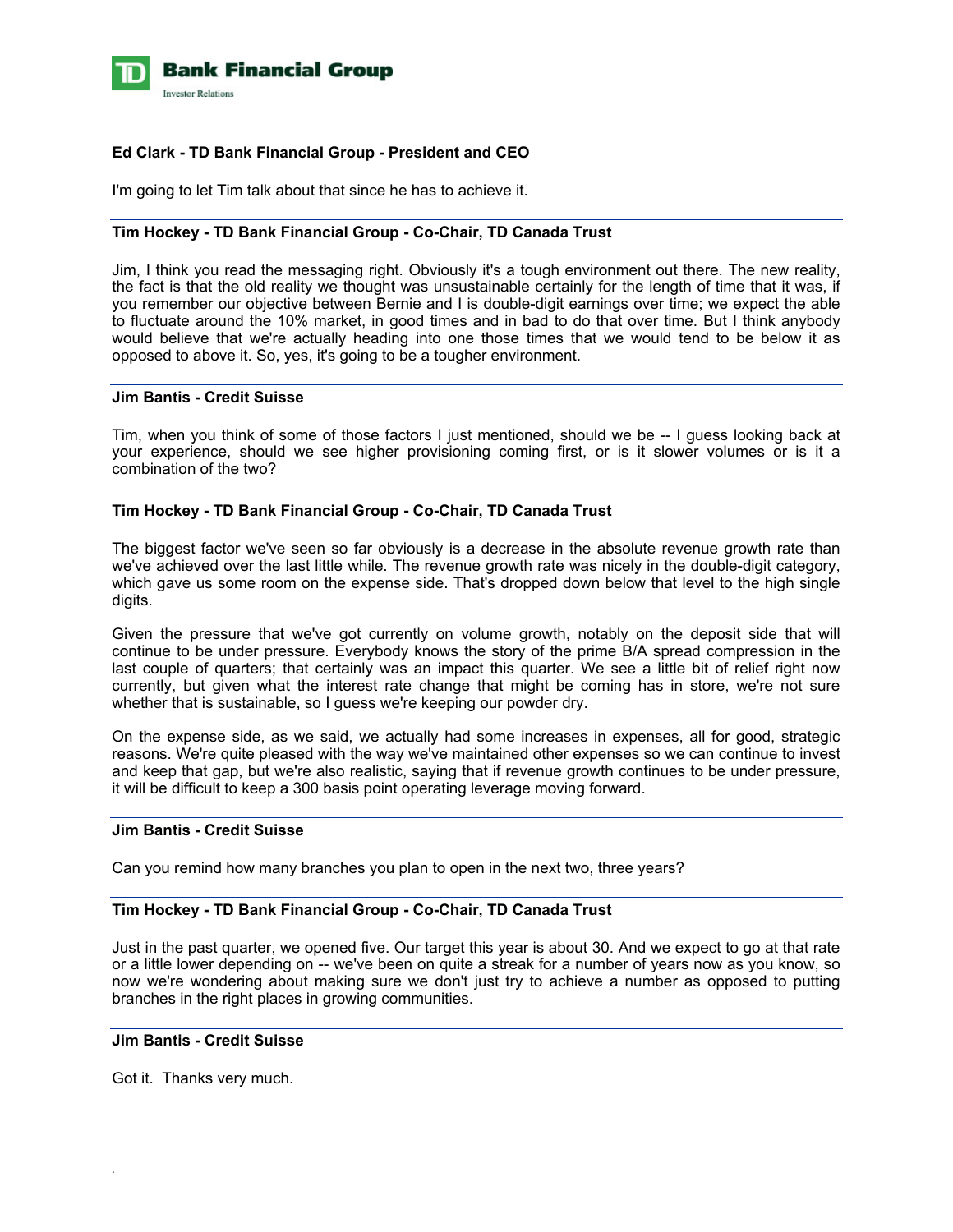

### **Ed Clark - TD Bank Financial Group - President and CEO**

I'm going to let Tim talk about that since he has to achieve it.

### **Tim Hockey - TD Bank Financial Group - Co-Chair, TD Canada Trust**

Jim, I think you read the messaging right. Obviously it's a tough environment out there. The new reality, the fact is that the old reality we thought was unsustainable certainly for the length of time that it was, if you remember our objective between Bernie and I is double-digit earnings over time; we expect the able to fluctuate around the 10% market, in good times and in bad to do that over time. But I think anybody would believe that we're actually heading into one those times that we would tend to be below it as opposed to above it. So, yes, it's going to be a tougher environment.

### **Jim Bantis - Credit Suisse**

Tim, when you think of some of those factors I just mentioned, should we be -- I guess looking back at your experience, should we see higher provisioning coming first, or is it slower volumes or is it a combination of the two?

### **Tim Hockey - TD Bank Financial Group - Co-Chair, TD Canada Trust**

The biggest factor we've seen so far obviously is a decrease in the absolute revenue growth rate than we've achieved over the last little while. The revenue growth rate was nicely in the double-digit category, which gave us some room on the expense side. That's dropped down below that level to the high single digits.

Given the pressure that we've got currently on volume growth, notably on the deposit side that will continue to be under pressure. Everybody knows the story of the prime B/A spread compression in the last couple of quarters; that certainly was an impact this quarter. We see a little bit of relief right now currently, but given what the interest rate change that might be coming has in store, we're not sure whether that is sustainable, so I guess we're keeping our powder dry.

On the expense side, as we said, we actually had some increases in expenses, all for good, strategic reasons. We're quite pleased with the way we've maintained other expenses so we can continue to invest and keep that gap, but we're also realistic, saying that if revenue growth continues to be under pressure, it will be difficult to keep a 300 basis point operating leverage moving forward.

### **Jim Bantis - Credit Suisse**

Can you remind how many branches you plan to open in the next two, three years?

### **Tim Hockey - TD Bank Financial Group - Co-Chair, TD Canada Trust**

Just in the past quarter, we opened five. Our target this year is about 30. And we expect to go at that rate or a little lower depending on -- we've been on quite a streak for a number of years now as you know, so now we're wondering about making sure we don't just try to achieve a number as opposed to putting branches in the right places in growing communities.

### **Jim Bantis - Credit Suisse**

Got it. Thanks very much.

.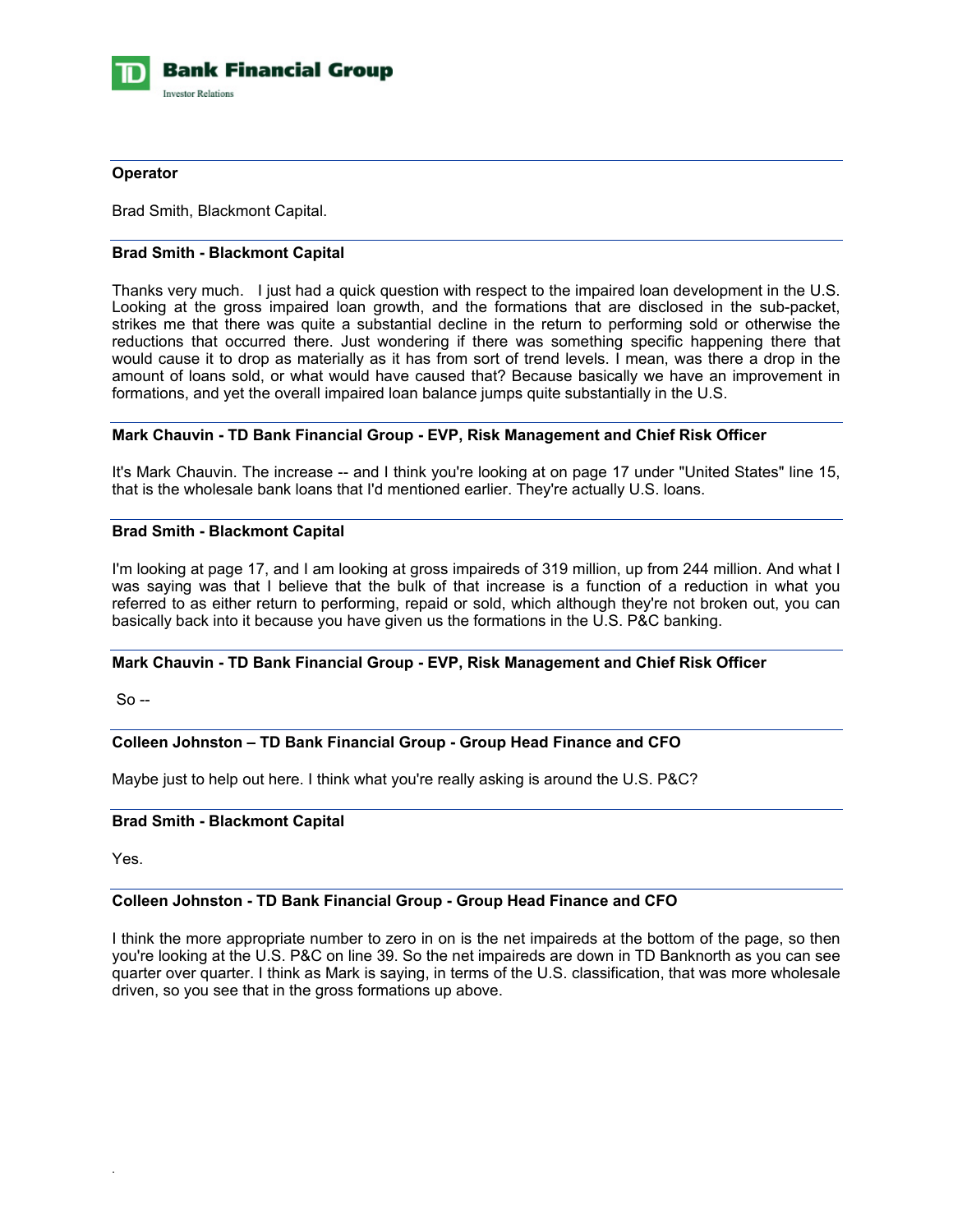

#### **Operator**

Brad Smith, Blackmont Capital.

### **Brad Smith - Blackmont Capital**

Thanks very much. I just had a quick question with respect to the impaired loan development in the U.S. Looking at the gross impaired loan growth, and the formations that are disclosed in the sub-packet, strikes me that there was quite a substantial decline in the return to performing sold or otherwise the reductions that occurred there. Just wondering if there was something specific happening there that would cause it to drop as materially as it has from sort of trend levels. I mean, was there a drop in the amount of loans sold, or what would have caused that? Because basically we have an improvement in formations, and yet the overall impaired loan balance jumps quite substantially in the U.S.

### **Mark Chauvin - TD Bank Financial Group - EVP, Risk Management and Chief Risk Officer**

It's Mark Chauvin. The increase -- and I think you're looking at on page 17 under "United States" line 15, that is the wholesale bank loans that I'd mentioned earlier. They're actually U.S. loans.

### **Brad Smith - Blackmont Capital**

I'm looking at page 17, and I am looking at gross impaireds of 319 million, up from 244 million. And what I was saying was that I believe that the bulk of that increase is a function of a reduction in what you referred to as either return to performing, repaid or sold, which although they're not broken out, you can basically back into it because you have given us the formations in the U.S. P&C banking.

### **Mark Chauvin - TD Bank Financial Group - EVP, Risk Management and Chief Risk Officer**

 $So -$ 

### **Colleen Johnston – TD Bank Financial Group - Group Head Finance and CFO**

Maybe just to help out here. I think what you're really asking is around the U.S. P&C?

### **Brad Smith - Blackmont Capital**

Yes.

.

### **Colleen Johnston - TD Bank Financial Group - Group Head Finance and CFO**

I think the more appropriate number to zero in on is the net impaireds at the bottom of the page, so then you're looking at the U.S. P&C on line 39. So the net impaireds are down in TD Banknorth as you can see quarter over quarter. I think as Mark is saying, in terms of the U.S. classification, that was more wholesale driven, so you see that in the gross formations up above.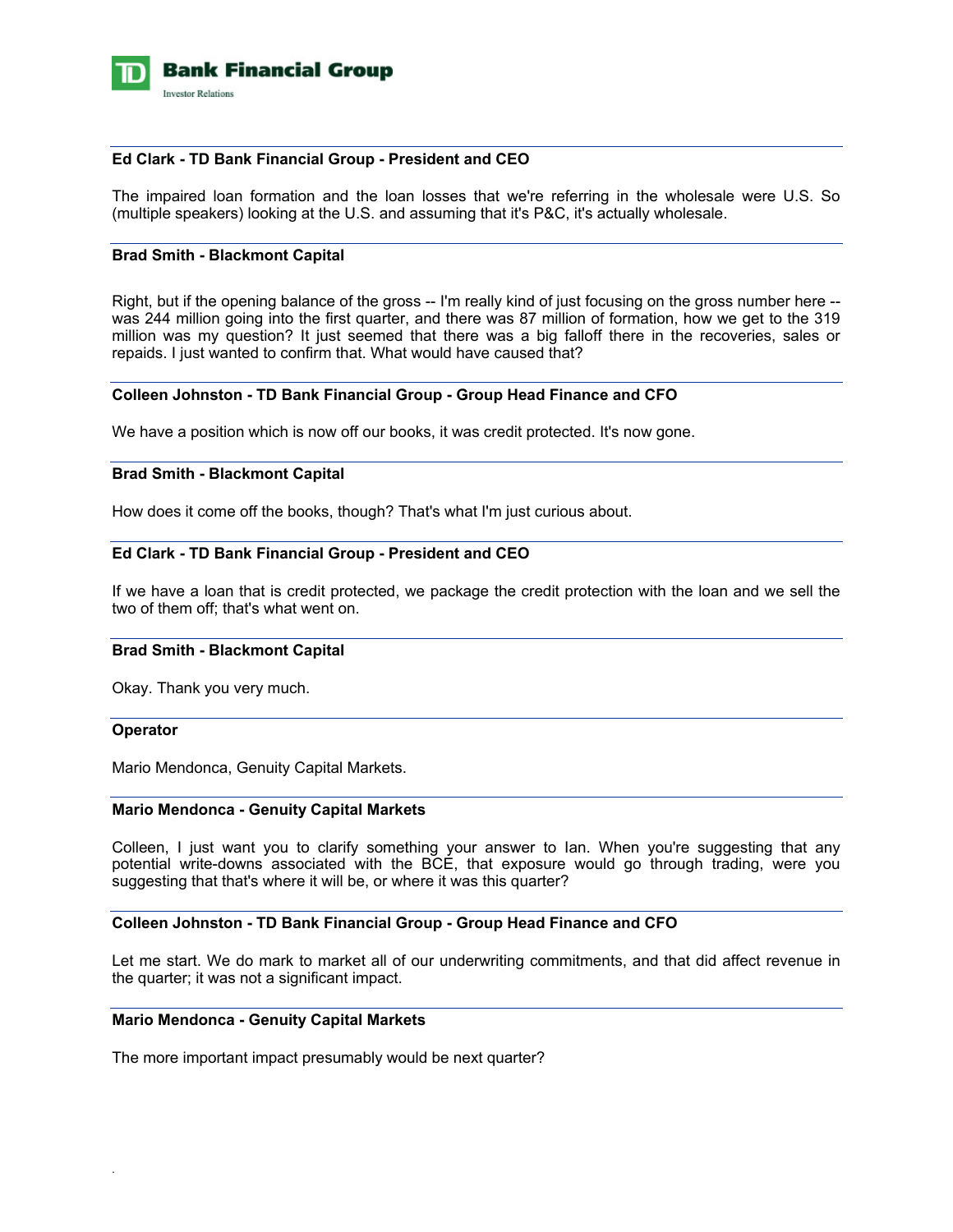

### **Ed Clark - TD Bank Financial Group - President and CEO**

The impaired loan formation and the loan losses that we're referring in the wholesale were U.S. So (multiple speakers) looking at the U.S. and assuming that it's P&C, it's actually wholesale.

### **Brad Smith - Blackmont Capital**

Right, but if the opening balance of the gross -- I'm really kind of just focusing on the gross number here - was 244 million going into the first quarter, and there was 87 million of formation, how we get to the 319 million was my question? It just seemed that there was a big falloff there in the recoveries, sales or repaids. I just wanted to confirm that. What would have caused that?

### **Colleen Johnston - TD Bank Financial Group - Group Head Finance and CFO**

We have a position which is now off our books, it was credit protected. It's now gone.

### **Brad Smith - Blackmont Capital**

How does it come off the books, though? That's what I'm just curious about.

### **Ed Clark - TD Bank Financial Group - President and CEO**

If we have a loan that is credit protected, we package the credit protection with the loan and we sell the two of them off; that's what went on.

### **Brad Smith - Blackmont Capital**

Okay. Thank you very much.

#### **Operator**

.

Mario Mendonca, Genuity Capital Markets.

#### **Mario Mendonca - Genuity Capital Markets**

Colleen, I just want you to clarify something your answer to Ian. When you're suggesting that any potential write-downs associated with the BCE, that exposure would go through trading, were you suggesting that that's where it will be, or where it was this quarter?

### **Colleen Johnston - TD Bank Financial Group - Group Head Finance and CFO**

Let me start. We do mark to market all of our underwriting commitments, and that did affect revenue in the quarter; it was not a significant impact.

#### **Mario Mendonca - Genuity Capital Markets**

The more important impact presumably would be next quarter?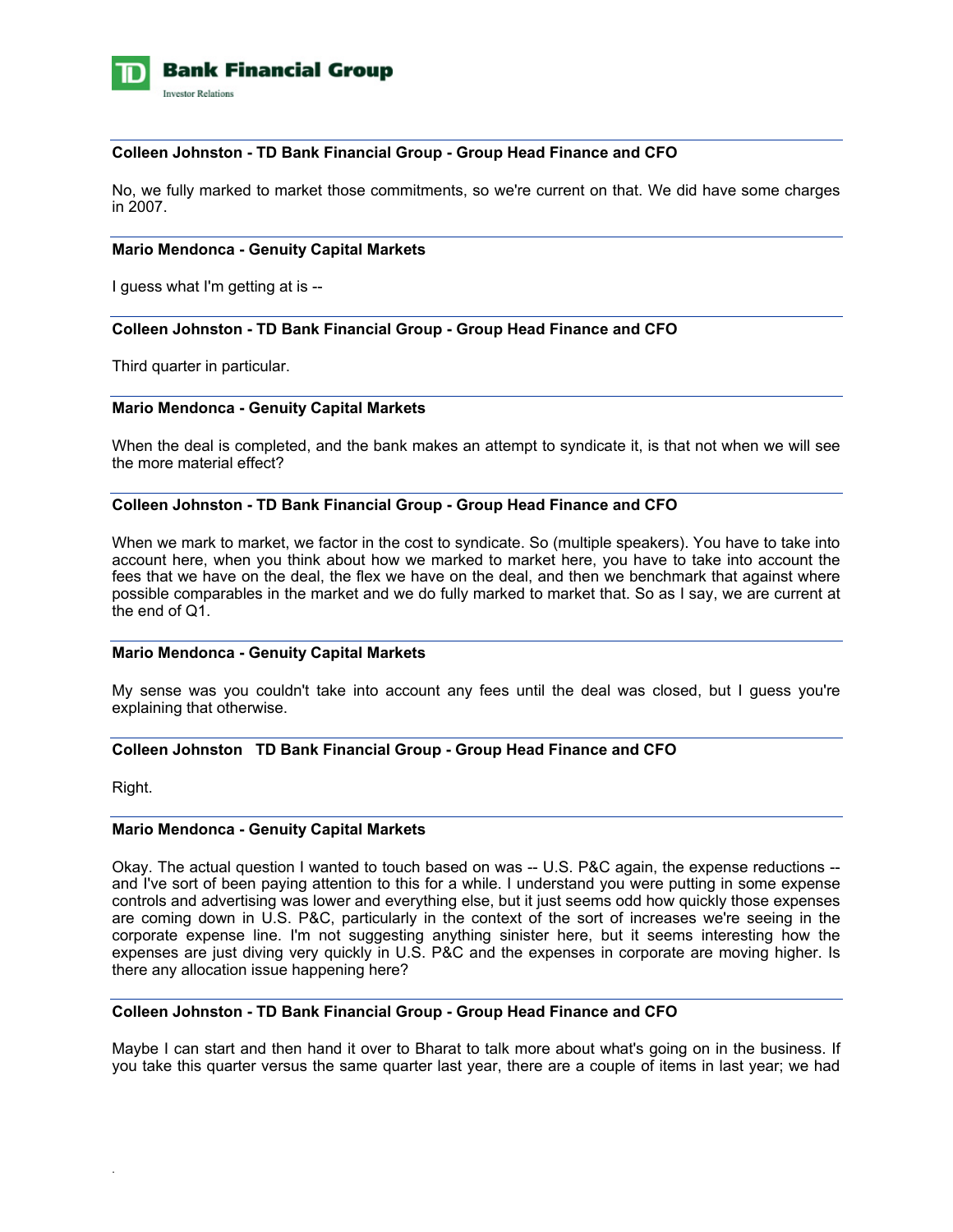

### **Colleen Johnston - TD Bank Financial Group - Group Head Finance and CFO**

No, we fully marked to market those commitments, so we're current on that. We did have some charges in 2007.

### **Mario Mendonca - Genuity Capital Markets**

I guess what I'm getting at is --

### **Colleen Johnston - TD Bank Financial Group - Group Head Finance and CFO**

Third quarter in particular.

### **Mario Mendonca - Genuity Capital Markets**

When the deal is completed, and the bank makes an attempt to syndicate it, is that not when we will see the more material effect?

### **Colleen Johnston - TD Bank Financial Group - Group Head Finance and CFO**

When we mark to market, we factor in the cost to syndicate. So (multiple speakers). You have to take into account here, when you think about how we marked to market here, you have to take into account the fees that we have on the deal, the flex we have on the deal, and then we benchmark that against where possible comparables in the market and we do fully marked to market that. So as I say, we are current at the end of Q1.

### **Mario Mendonca - Genuity Capital Markets**

My sense was you couldn't take into account any fees until the deal was closed, but I guess you're explaining that otherwise.

### **Colleen Johnston TD Bank Financial Group - Group Head Finance and CFO**

Right.

.

#### **Mario Mendonca - Genuity Capital Markets**

Okay. The actual question I wanted to touch based on was -- U.S. P&C again, the expense reductions - and I've sort of been paying attention to this for a while. I understand you were putting in some expense controls and advertising was lower and everything else, but it just seems odd how quickly those expenses are coming down in U.S. P&C, particularly in the context of the sort of increases we're seeing in the corporate expense line. I'm not suggesting anything sinister here, but it seems interesting how the expenses are just diving very quickly in U.S. P&C and the expenses in corporate are moving higher. Is there any allocation issue happening here?

### **Colleen Johnston - TD Bank Financial Group - Group Head Finance and CFO**

Maybe I can start and then hand it over to Bharat to talk more about what's going on in the business. If you take this quarter versus the same quarter last year, there are a couple of items in last year; we had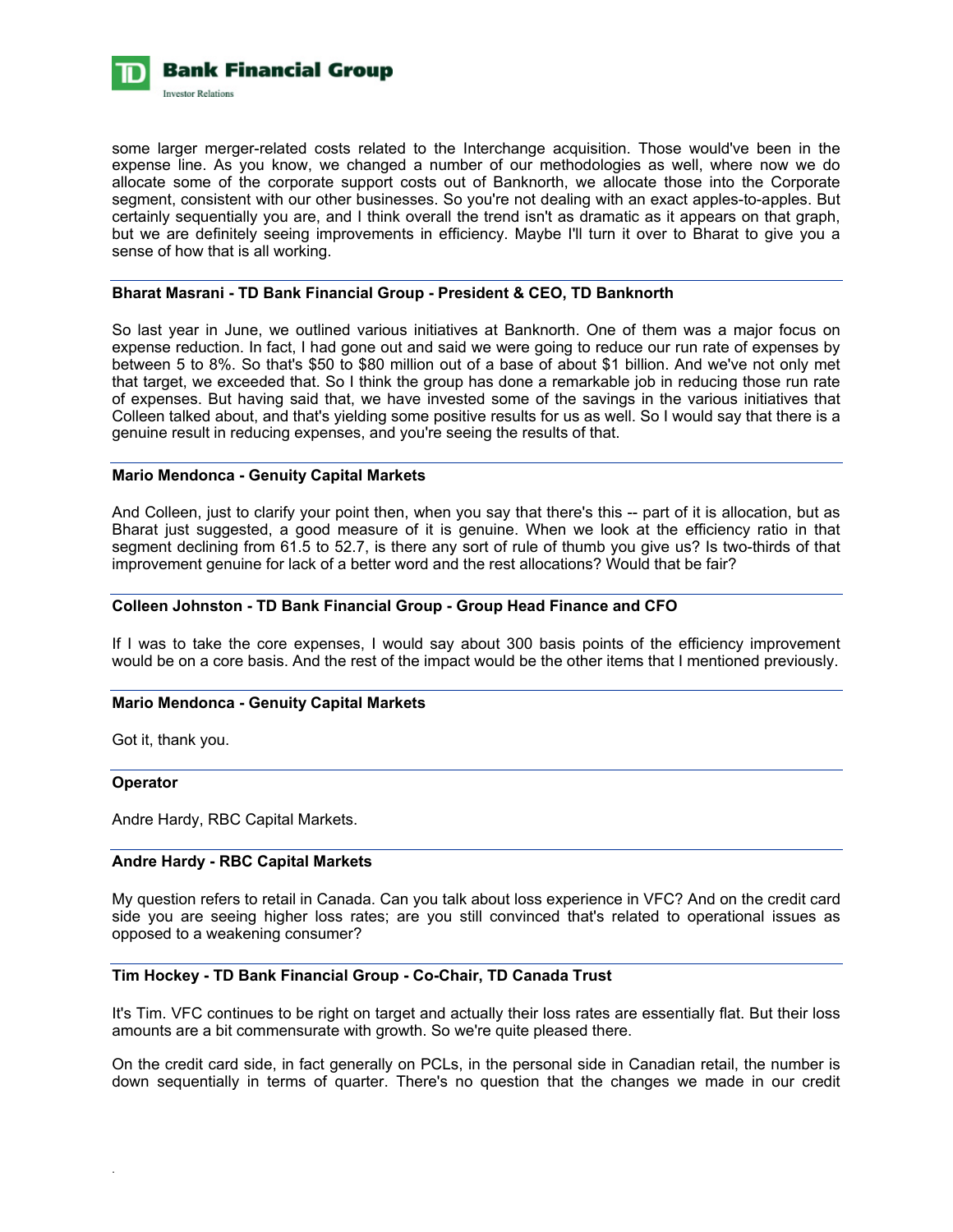

some larger merger-related costs related to the Interchange acquisition. Those would've been in the expense line. As you know, we changed a number of our methodologies as well, where now we do allocate some of the corporate support costs out of Banknorth, we allocate those into the Corporate segment, consistent with our other businesses. So you're not dealing with an exact apples-to-apples. But certainly sequentially you are, and I think overall the trend isn't as dramatic as it appears on that graph, but we are definitely seeing improvements in efficiency. Maybe I'll turn it over to Bharat to give you a sense of how that is all working.

### **Bharat Masrani - TD Bank Financial Group - President & CEO, TD Banknorth**

So last year in June, we outlined various initiatives at Banknorth. One of them was a major focus on expense reduction. In fact, I had gone out and said we were going to reduce our run rate of expenses by between 5 to 8%. So that's \$50 to \$80 million out of a base of about \$1 billion. And we've not only met that target, we exceeded that. So I think the group has done a remarkable job in reducing those run rate of expenses. But having said that, we have invested some of the savings in the various initiatives that Colleen talked about, and that's yielding some positive results for us as well. So I would say that there is a genuine result in reducing expenses, and you're seeing the results of that.

### **Mario Mendonca - Genuity Capital Markets**

And Colleen, just to clarify your point then, when you say that there's this -- part of it is allocation, but as Bharat just suggested, a good measure of it is genuine. When we look at the efficiency ratio in that segment declining from 61.5 to 52.7, is there any sort of rule of thumb you give us? Is two-thirds of that improvement genuine for lack of a better word and the rest allocations? Would that be fair?

### **Colleen Johnston - TD Bank Financial Group - Group Head Finance and CFO**

If I was to take the core expenses, I would say about 300 basis points of the efficiency improvement would be on a core basis. And the rest of the impact would be the other items that I mentioned previously.

### **Mario Mendonca - Genuity Capital Markets**

Got it, thank you.

### **Operator**

.

Andre Hardy, RBC Capital Markets.

### **Andre Hardy - RBC Capital Markets**

My question refers to retail in Canada. Can you talk about loss experience in VFC? And on the credit card side you are seeing higher loss rates; are you still convinced that's related to operational issues as opposed to a weakening consumer?

### **Tim Hockey - TD Bank Financial Group - Co-Chair, TD Canada Trust**

It's Tim. VFC continues to be right on target and actually their loss rates are essentially flat. But their loss amounts are a bit commensurate with growth. So we're quite pleased there.

On the credit card side, in fact generally on PCLs, in the personal side in Canadian retail, the number is down sequentially in terms of quarter. There's no question that the changes we made in our credit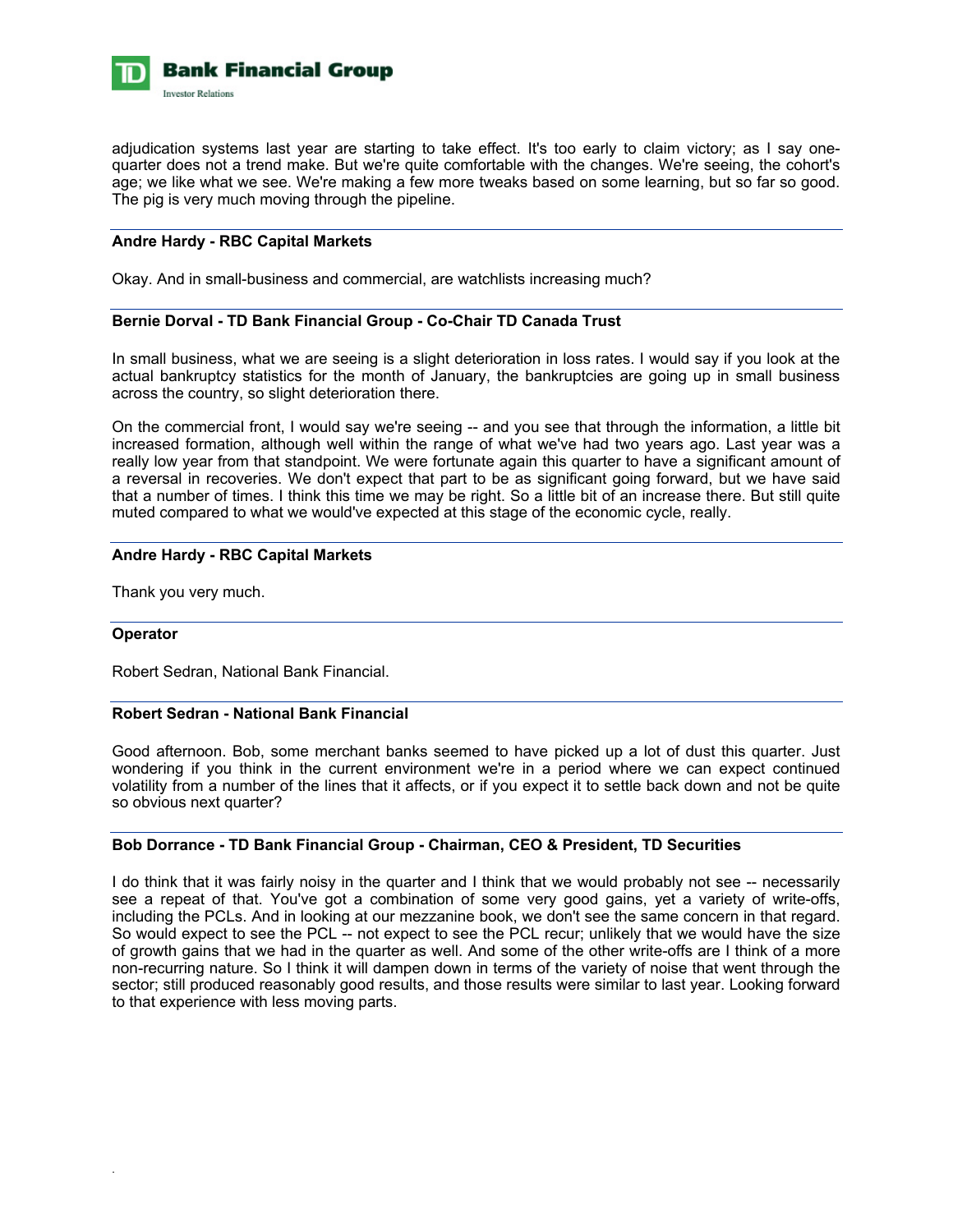

adjudication systems last year are starting to take effect. It's too early to claim victory; as I say onequarter does not a trend make. But we're quite comfortable with the changes. We're seeing, the cohort's age; we like what we see. We're making a few more tweaks based on some learning, but so far so good. The pig is very much moving through the pipeline.

### **Andre Hardy - RBC Capital Markets**

Okay. And in small-business and commercial, are watchlists increasing much?

### **Bernie Dorval - TD Bank Financial Group - Co-Chair TD Canada Trust**

In small business, what we are seeing is a slight deterioration in loss rates. I would say if you look at the actual bankruptcy statistics for the month of January, the bankruptcies are going up in small business across the country, so slight deterioration there.

On the commercial front, I would say we're seeing -- and you see that through the information, a little bit increased formation, although well within the range of what we've had two years ago. Last year was a really low year from that standpoint. We were fortunate again this quarter to have a significant amount of a reversal in recoveries. We don't expect that part to be as significant going forward, but we have said that a number of times. I think this time we may be right. So a little bit of an increase there. But still quite muted compared to what we would've expected at this stage of the economic cycle, really.

### **Andre Hardy - RBC Capital Markets**

Thank you very much.

### **Operator**

.

Robert Sedran, National Bank Financial.

### **Robert Sedran - National Bank Financial**

Good afternoon. Bob, some merchant banks seemed to have picked up a lot of dust this quarter. Just wondering if you think in the current environment we're in a period where we can expect continued volatility from a number of the lines that it affects, or if you expect it to settle back down and not be quite so obvious next quarter?

### **Bob Dorrance - TD Bank Financial Group - Chairman, CEO & President, TD Securities**

I do think that it was fairly noisy in the quarter and I think that we would probably not see -- necessarily see a repeat of that. You've got a combination of some very good gains, yet a variety of write-offs, including the PCLs. And in looking at our mezzanine book, we don't see the same concern in that regard. So would expect to see the PCL -- not expect to see the PCL recur; unlikely that we would have the size of growth gains that we had in the quarter as well. And some of the other write-offs are I think of a more non-recurring nature. So I think it will dampen down in terms of the variety of noise that went through the sector; still produced reasonably good results, and those results were similar to last year. Looking forward to that experience with less moving parts.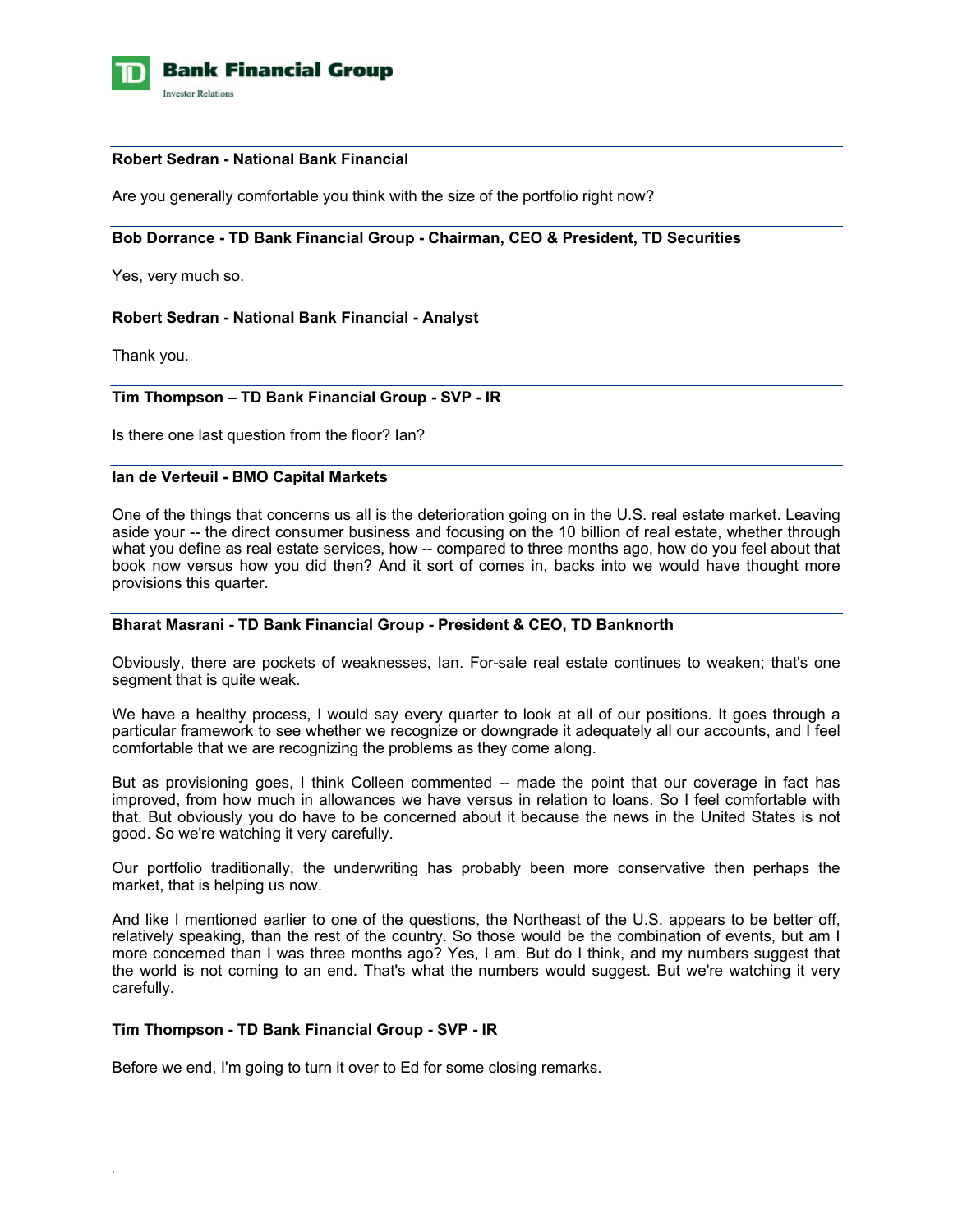

### **Robert Sedran - National Bank Financial**

Are you generally comfortable you think with the size of the portfolio right now?

### **Bob Dorrance - TD Bank Financial Group - Chairman, CEO & President, TD Securities**

Yes, very much so.

### **Robert Sedran - National Bank Financial - Analyst**

Thank you.

.

### **Tim Thompson – TD Bank Financial Group - SVP - IR**

Is there one last question from the floor? Ian?

### **Ian de Verteuil - BMO Capital Markets**

One of the things that concerns us all is the deterioration going on in the U.S. real estate market. Leaving aside your -- the direct consumer business and focusing on the 10 billion of real estate, whether through what you define as real estate services, how -- compared to three months ago, how do you feel about that book now versus how you did then? And it sort of comes in, backs into we would have thought more provisions this quarter.

### **Bharat Masrani - TD Bank Financial Group - President & CEO, TD Banknorth**

Obviously, there are pockets of weaknesses, Ian. For-sale real estate continues to weaken; that's one segment that is quite weak.

We have a healthy process, I would say every quarter to look at all of our positions. It goes through a particular framework to see whether we recognize or downgrade it adequately all our accounts, and I feel comfortable that we are recognizing the problems as they come along.

But as provisioning goes, I think Colleen commented -- made the point that our coverage in fact has improved, from how much in allowances we have versus in relation to loans. So I feel comfortable with that. But obviously you do have to be concerned about it because the news in the United States is not good. So we're watching it very carefully.

Our portfolio traditionally, the underwriting has probably been more conservative then perhaps the market, that is helping us now.

And like I mentioned earlier to one of the questions, the Northeast of the U.S. appears to be better off, relatively speaking, than the rest of the country. So those would be the combination of events, but am I more concerned than I was three months ago? Yes, I am. But do I think, and my numbers suggest that the world is not coming to an end. That's what the numbers would suggest. But we're watching it very carefully.

### **Tim Thompson - TD Bank Financial Group - SVP - IR**

Before we end, I'm going to turn it over to Ed for some closing remarks.